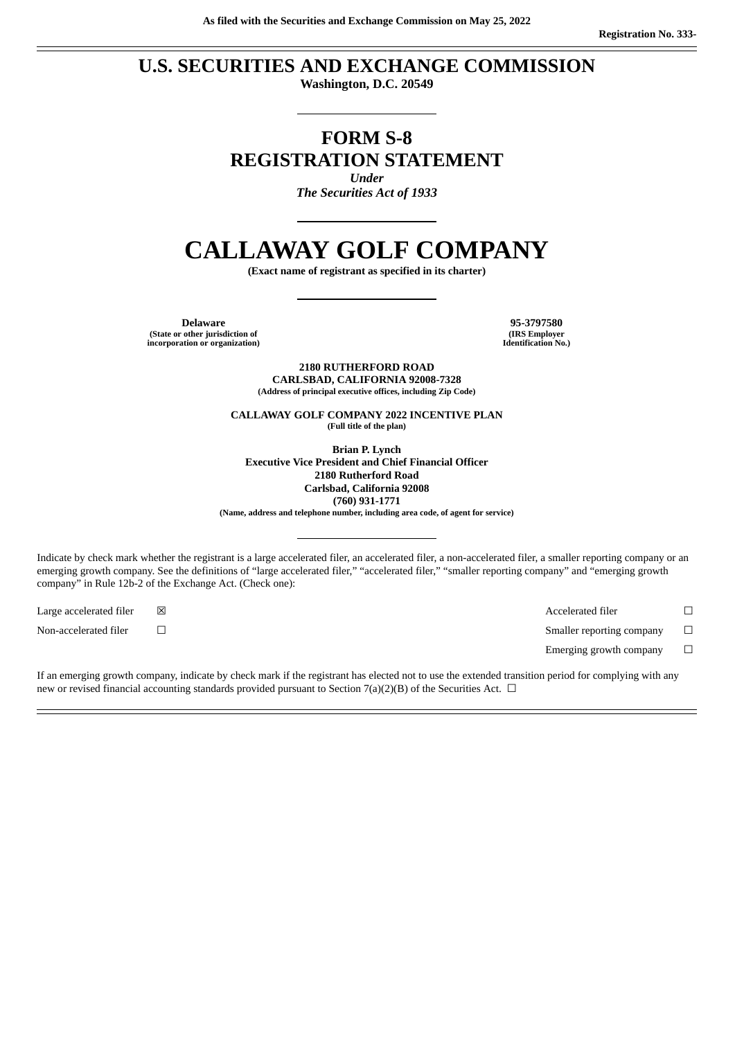## **U.S. SECURITIES AND EXCHANGE COMMISSION**

**Washington, D.C. 20549**

## **FORM S-8 REGISTRATION STATEMENT** *Under*

*The Securities Act of 1933*

# **CALLAWAY GOLF COMPANY**

**(Exact name of registrant as specified in its charter)**

**Delaware 95-3797580 (State or other jurisdiction of incorporation or organization)**

**(IRS Employer Identification No.)**

**2180 RUTHERFORD ROAD CARLSBAD, CALIFORNIA 92008-7328 (Address of principal executive offices, including Zip Code)**

**CALLAWAY GOLF COMPANY 2022 INCENTIVE PLAN (Full title of the plan)**

**Brian P. Lynch**

**Executive Vice President and Chief Financial Officer 2180 Rutherford Road**

**Carlsbad, California 92008**

**(760) 931-1771**

**(Name, address and telephone number, including area code, of agent for service)**

Indicate by check mark whether the registrant is a large accelerated filer, an accelerated filer, a non-accelerated filer, a smaller reporting company or an emerging growth company. See the definitions of "large accelerated filer," "accelerated filer," "smaller reporting company" and "emerging growth company" in Rule 12b-2 of the Exchange Act. (Check one):

Large accelerated filer **□**  $□$   $□$ Non-accelerated filer <del>□</del> Emerging growth company  $\Box$ 

If an emerging growth company, indicate by check mark if the registrant has elected not to use the extended transition period for complying with any new or revised financial accounting standards provided pursuant to Section 7(a)(2)(B) of the Securities Act.  $\Box$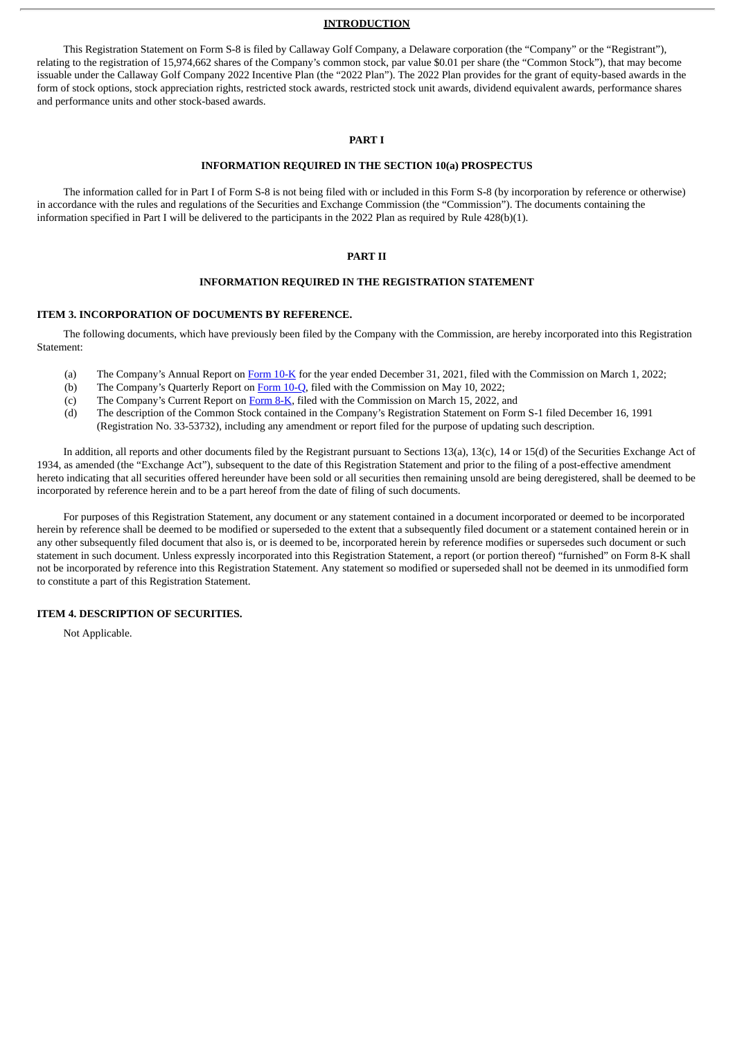### **INTRODUCTION**

This Registration Statement on Form S-8 is filed by Callaway Golf Company, a Delaware corporation (the "Company" or the "Registrant"), relating to the registration of 15,974,662 shares of the Company's common stock, par value \$0.01 per share (the "Common Stock"), that may become issuable under the Callaway Golf Company 2022 Incentive Plan (the "2022 Plan"). The 2022 Plan provides for the grant of equity-based awards in the form of stock options, stock appreciation rights, restricted stock awards, restricted stock unit awards, dividend equivalent awards, performance shares and performance units and other stock-based awards.

### **PART I**

### **INFORMATION REQUIRED IN THE SECTION 10(a) PROSPECTUS**

The information called for in Part I of Form S-8 is not being filed with or included in this Form S-8 (by incorporation by reference or otherwise) in accordance with the rules and regulations of the Securities and Exchange Commission (the "Commission"). The documents containing the information specified in Part I will be delivered to the participants in the 2022 Plan as required by Rule 428(b)(1).

#### **PART II**

### **INFORMATION REQUIRED IN THE REGISTRATION STATEMENT**

### **ITEM 3. INCORPORATION OF DOCUMENTS BY REFERENCE.**

The following documents, which have previously been filed by the Company with the Commission, are hereby incorporated into this Registration Statement:

- (a) The Company's Annual Report on [Form](http://www.sec.gov/ix?doc=/Archives/edgar/data/837465/000083746522000005/ely-20211231.htm) 10-K for the year ended December 31, 2021, filed with the Commission on March 1, 2022;
- (b) The Company's Quarterly Report on [Form](http://www.sec.gov/ix?doc=/Archives/edgar/data/837465/000083746522000010/ely-20220331.htm) 10-Q, filed with the Commission on May 10, 2022;
- (c) The Company's Current Report on  $\frac{1}{2}$  [Form](http://www.sec.gov/ix?doc=/Archives/edgar/data/837465/000119312522076046/d322302d8k.htm) 8-K, filed with the Commission on March 15, 2022, and
- (d) The description of the Common Stock contained in the Company's Registration Statement on Form S-1 filed December 16, 1991 (Registration No. 33-53732), including any amendment or report filed for the purpose of updating such description.

In addition, all reports and other documents filed by the Registrant pursuant to Sections 13(a), 13(c), 14 or 15(d) of the Securities Exchange Act of 1934, as amended (the "Exchange Act"), subsequent to the date of this Registration Statement and prior to the filing of a post-effective amendment hereto indicating that all securities offered hereunder have been sold or all securities then remaining unsold are being deregistered, shall be deemed to be incorporated by reference herein and to be a part hereof from the date of filing of such documents.

For purposes of this Registration Statement, any document or any statement contained in a document incorporated or deemed to be incorporated herein by reference shall be deemed to be modified or superseded to the extent that a subsequently filed document or a statement contained herein or in any other subsequently filed document that also is, or is deemed to be, incorporated herein by reference modifies or supersedes such document or such statement in such document. Unless expressly incorporated into this Registration Statement, a report (or portion thereof) "furnished" on Form 8-K shall not be incorporated by reference into this Registration Statement. Any statement so modified or superseded shall not be deemed in its unmodified form to constitute a part of this Registration Statement.

### **ITEM 4. DESCRIPTION OF SECURITIES.**

Not Applicable.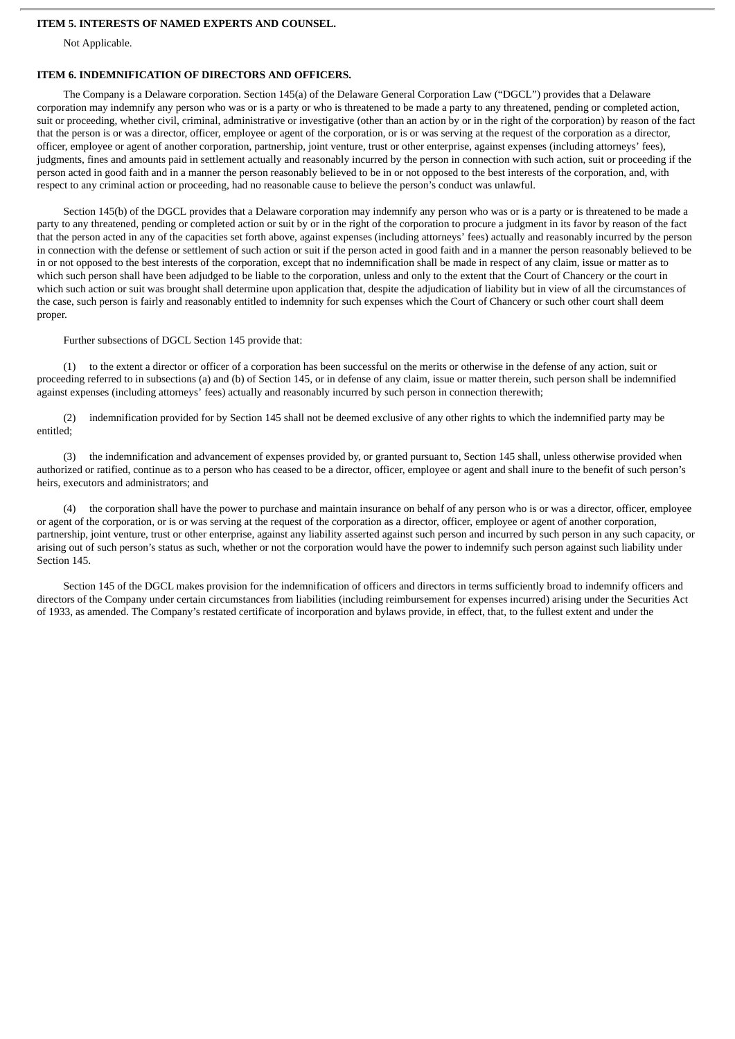### **ITEM 5. INTERESTS OF NAMED EXPERTS AND COUNSEL.**

Not Applicable.

### **ITEM 6. INDEMNIFICATION OF DIRECTORS AND OFFICERS.**

The Company is a Delaware corporation. Section 145(a) of the Delaware General Corporation Law ("DGCL") provides that a Delaware corporation may indemnify any person who was or is a party or who is threatened to be made a party to any threatened, pending or completed action, suit or proceeding, whether civil, criminal, administrative or investigative (other than an action by or in the right of the corporation) by reason of the fact that the person is or was a director, officer, employee or agent of the corporation, or is or was serving at the request of the corporation as a director, officer, employee or agent of another corporation, partnership, joint venture, trust or other enterprise, against expenses (including attorneys' fees), judgments, fines and amounts paid in settlement actually and reasonably incurred by the person in connection with such action, suit or proceeding if the person acted in good faith and in a manner the person reasonably believed to be in or not opposed to the best interests of the corporation, and, with respect to any criminal action or proceeding, had no reasonable cause to believe the person's conduct was unlawful.

Section 145(b) of the DGCL provides that a Delaware corporation may indemnify any person who was or is a party or is threatened to be made a party to any threatened, pending or completed action or suit by or in the right of the corporation to procure a judgment in its favor by reason of the fact that the person acted in any of the capacities set forth above, against expenses (including attorneys' fees) actually and reasonably incurred by the person in connection with the defense or settlement of such action or suit if the person acted in good faith and in a manner the person reasonably believed to be in or not opposed to the best interests of the corporation, except that no indemnification shall be made in respect of any claim, issue or matter as to which such person shall have been adjudged to be liable to the corporation, unless and only to the extent that the Court of Chancery or the court in which such action or suit was brought shall determine upon application that, despite the adjudication of liability but in view of all the circumstances of the case, such person is fairly and reasonably entitled to indemnity for such expenses which the Court of Chancery or such other court shall deem proper.

Further subsections of DGCL Section 145 provide that:

(1) to the extent a director or officer of a corporation has been successful on the merits or otherwise in the defense of any action, suit or proceeding referred to in subsections (a) and (b) of Section 145, or in defense of any claim, issue or matter therein, such person shall be indemnified against expenses (including attorneys' fees) actually and reasonably incurred by such person in connection therewith;

(2) indemnification provided for by Section 145 shall not be deemed exclusive of any other rights to which the indemnified party may be entitled;

(3) the indemnification and advancement of expenses provided by, or granted pursuant to, Section 145 shall, unless otherwise provided when authorized or ratified, continue as to a person who has ceased to be a director, officer, employee or agent and shall inure to the benefit of such person's heirs, executors and administrators; and

(4) the corporation shall have the power to purchase and maintain insurance on behalf of any person who is or was a director, officer, employee or agent of the corporation, or is or was serving at the request of the corporation as a director, officer, employee or agent of another corporation, partnership, joint venture, trust or other enterprise, against any liability asserted against such person and incurred by such person in any such capacity, or arising out of such person's status as such, whether or not the corporation would have the power to indemnify such person against such liability under Section 145.

Section 145 of the DGCL makes provision for the indemnification of officers and directors in terms sufficiently broad to indemnify officers and directors of the Company under certain circumstances from liabilities (including reimbursement for expenses incurred) arising under the Securities Act of 1933, as amended. The Company's restated certificate of incorporation and bylaws provide, in effect, that, to the fullest extent and under the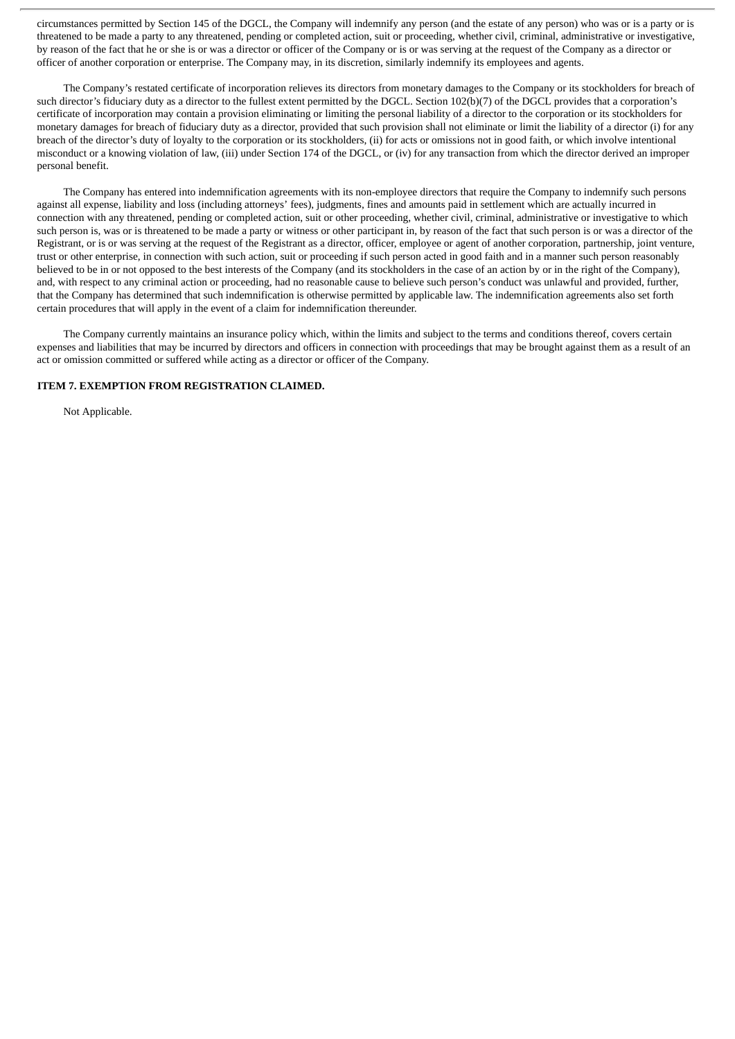circumstances permitted by Section 145 of the DGCL, the Company will indemnify any person (and the estate of any person) who was or is a party or is threatened to be made a party to any threatened, pending or completed action, suit or proceeding, whether civil, criminal, administrative or investigative, by reason of the fact that he or she is or was a director or officer of the Company or is or was serving at the request of the Company as a director or officer of another corporation or enterprise. The Company may, in its discretion, similarly indemnify its employees and agents.

The Company's restated certificate of incorporation relieves its directors from monetary damages to the Company or its stockholders for breach of such director's fiduciary duty as a director to the fullest extent permitted by the DGCL. Section 102(b)(7) of the DGCL provides that a corporation's certificate of incorporation may contain a provision eliminating or limiting the personal liability of a director to the corporation or its stockholders for monetary damages for breach of fiduciary duty as a director, provided that such provision shall not eliminate or limit the liability of a director (i) for any breach of the director's duty of loyalty to the corporation or its stockholders, (ii) for acts or omissions not in good faith, or which involve intentional misconduct or a knowing violation of law, (iii) under Section 174 of the DGCL, or (iv) for any transaction from which the director derived an improper personal benefit.

The Company has entered into indemnification agreements with its non-employee directors that require the Company to indemnify such persons against all expense, liability and loss (including attorneys' fees), judgments, fines and amounts paid in settlement which are actually incurred in connection with any threatened, pending or completed action, suit or other proceeding, whether civil, criminal, administrative or investigative to which such person is, was or is threatened to be made a party or witness or other participant in, by reason of the fact that such person is or was a director of the Registrant, or is or was serving at the request of the Registrant as a director, officer, employee or agent of another corporation, partnership, joint venture, trust or other enterprise, in connection with such action, suit or proceeding if such person acted in good faith and in a manner such person reasonably believed to be in or not opposed to the best interests of the Company (and its stockholders in the case of an action by or in the right of the Company), and, with respect to any criminal action or proceeding, had no reasonable cause to believe such person's conduct was unlawful and provided, further, that the Company has determined that such indemnification is otherwise permitted by applicable law. The indemnification agreements also set forth certain procedures that will apply in the event of a claim for indemnification thereunder.

The Company currently maintains an insurance policy which, within the limits and subject to the terms and conditions thereof, covers certain expenses and liabilities that may be incurred by directors and officers in connection with proceedings that may be brought against them as a result of an act or omission committed or suffered while acting as a director or officer of the Company.

### **ITEM 7. EXEMPTION FROM REGISTRATION CLAIMED.**

Not Applicable.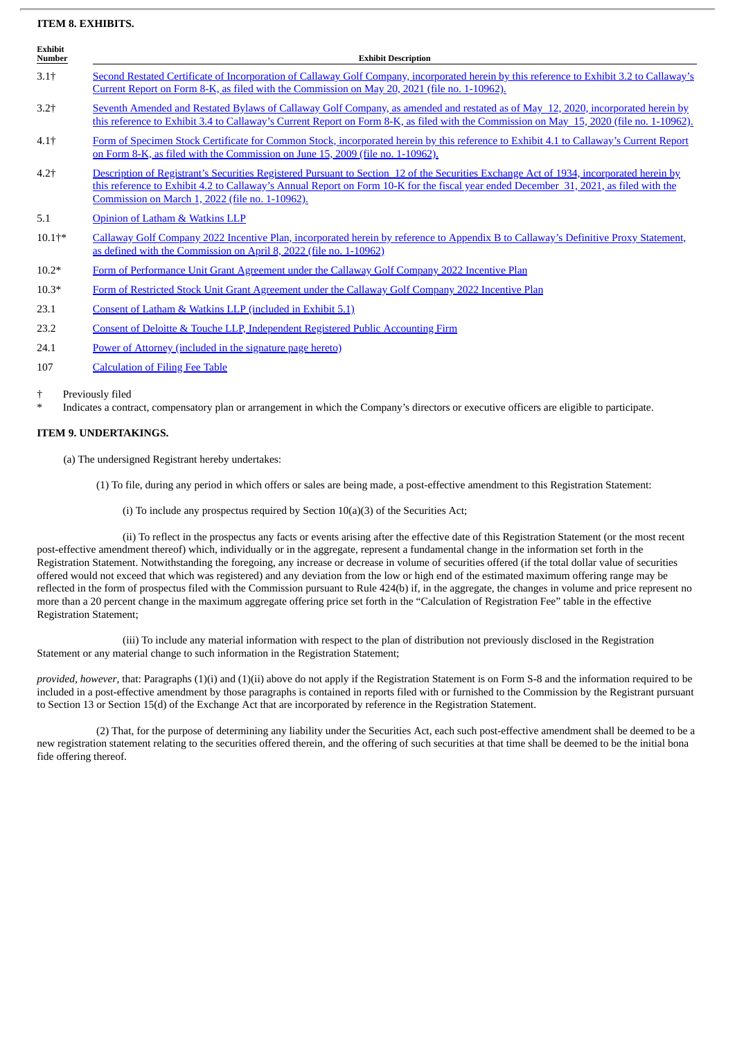### **ITEM 8. EXHIBITS.**

| <b>Exhibit</b><br>Number | <b>Exhibit Description</b>                                                                                                                                                                                                                                                                                                          |
|--------------------------|-------------------------------------------------------------------------------------------------------------------------------------------------------------------------------------------------------------------------------------------------------------------------------------------------------------------------------------|
| $3.1+$                   | Second Restated Certificate of Incorporation of Callaway Golf Company, incorporated herein by this reference to Exhibit 3.2 to Callaway's<br>Current Report on Form 8-K, as filed with the Commission on May 20, 2021 (file no. 1-10962).                                                                                           |
| $3.2+$                   | Seventh Amended and Restated Bylaws of Callaway Golf Company, as amended and restated as of May 12, 2020, incorporated herein by<br>this reference to Exhibit 3.4 to Callaway's Current Report on Form 8-K, as filed with the Commission on May 15, 2020 (file no. 1-10962).                                                        |
| $4.1+$                   | Form of Specimen Stock Certificate for Common Stock, incorporated herein by this reference to Exhibit 4.1 to Callaway's Current Report<br>on Form 8-K, as filed with the Commission on June 15, 2009 (file no. 1-10962).                                                                                                            |
| $4.2+$                   | Description of Registrant's Securities Registered Pursuant to Section 12 of the Securities Exchange Act of 1934, incorporated herein by<br>this reference to Exhibit 4.2 to Callaway's Annual Report on Form 10-K for the fiscal year ended December 31, 2021, as filed with the<br>Commission on March 1, 2022 (file no. 1-10962). |
| 5.1                      | Opinion of Latham & Watkins LLP                                                                                                                                                                                                                                                                                                     |
| $10.1$ <sup>*</sup>      | Callaway Golf Company 2022 Incentive Plan, incorporated herein by reference to Appendix B to Callaway's Definitive Proxy Statement,<br>as defined with the Commission on April 8, 2022 (file no. 1-10962)                                                                                                                           |
| $10.2*$                  | Form of Performance Unit Grant Agreement under the Callaway Golf Company 2022 Incentive Plan                                                                                                                                                                                                                                        |
| $10.3*$                  | Form of Restricted Stock Unit Grant Agreement under the Callaway Golf Company 2022 Incentive Plan                                                                                                                                                                                                                                   |
| 23.1                     | Consent of Latham & Watkins LLP (included in Exhibit 5.1)                                                                                                                                                                                                                                                                           |
| 23.2                     | <b>Consent of Deloitte &amp; Touche LLP, Independent Registered Public Accounting Firm</b>                                                                                                                                                                                                                                          |
| 24.1                     | Power of Attorney (included in the signature page hereto)                                                                                                                                                                                                                                                                           |
| 107                      | <b>Calculation of Filing Fee Table</b>                                                                                                                                                                                                                                                                                              |

Previously filed

\* Indicates a contract, compensatory plan or arrangement in which the Company's directors or executive officers are eligible to participate.

### **ITEM 9. UNDERTAKINGS.**

(a) The undersigned Registrant hereby undertakes:

- (1) To file, during any period in which offers or sales are being made, a post-effective amendment to this Registration Statement:
	- (i) To include any prospectus required by Section 10(a)(3) of the Securities Act;

(ii) To reflect in the prospectus any facts or events arising after the effective date of this Registration Statement (or the most recent post-effective amendment thereof) which, individually or in the aggregate, represent a fundamental change in the information set forth in the Registration Statement. Notwithstanding the foregoing, any increase or decrease in volume of securities offered (if the total dollar value of securities offered would not exceed that which was registered) and any deviation from the low or high end of the estimated maximum offering range may be reflected in the form of prospectus filed with the Commission pursuant to Rule 424(b) if, in the aggregate, the changes in volume and price represent no more than a 20 percent change in the maximum aggregate offering price set forth in the "Calculation of Registration Fee" table in the effective Registration Statement;

(iii) To include any material information with respect to the plan of distribution not previously disclosed in the Registration Statement or any material change to such information in the Registration Statement;

*provided, however*, that: Paragraphs (1)(i) and (1)(ii) above do not apply if the Registration Statement is on Form S-8 and the information required to be included in a post-effective amendment by those paragraphs is contained in reports filed with or furnished to the Commission by the Registrant pursuant to Section 13 or Section 15(d) of the Exchange Act that are incorporated by reference in the Registration Statement.

(2) That, for the purpose of determining any liability under the Securities Act, each such post-effective amendment shall be deemed to be a new registration statement relating to the securities offered therein, and the offering of such securities at that time shall be deemed to be the initial bona fide offering thereof.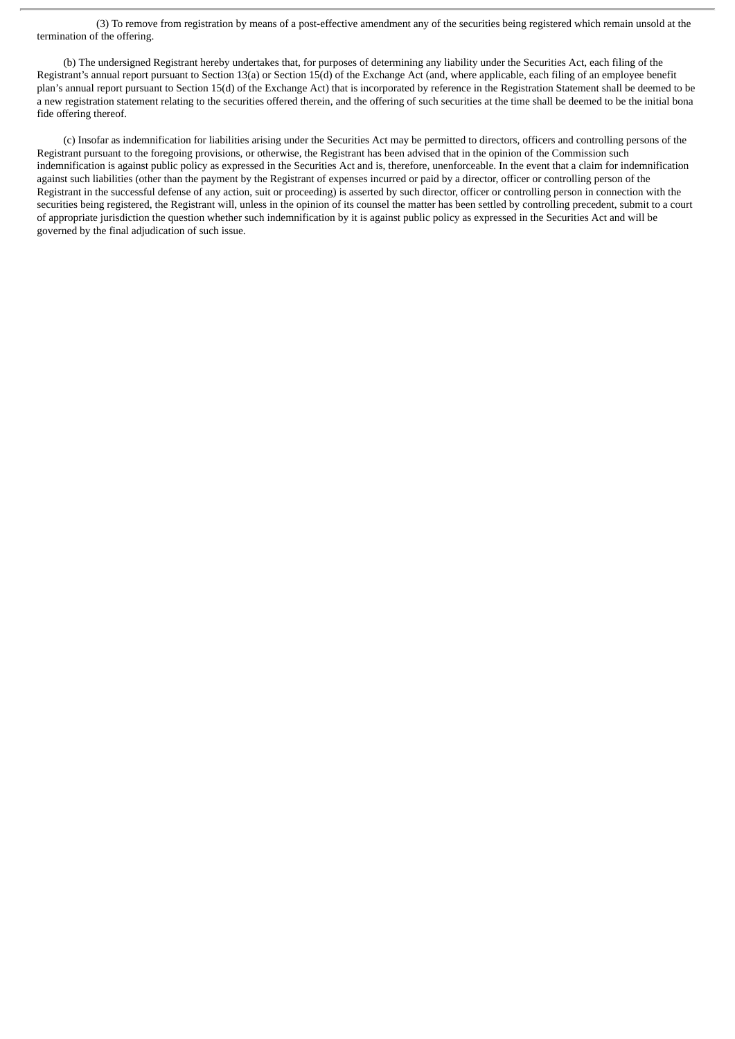(3) To remove from registration by means of a post-effective amendment any of the securities being registered which remain unsold at the termination of the offering.

(b) The undersigned Registrant hereby undertakes that, for purposes of determining any liability under the Securities Act, each filing of the Registrant's annual report pursuant to Section 13(a) or Section 15(d) of the Exchange Act (and, where applicable, each filing of an employee benefit plan's annual report pursuant to Section 15(d) of the Exchange Act) that is incorporated by reference in the Registration Statement shall be deemed to be a new registration statement relating to the securities offered therein, and the offering of such securities at the time shall be deemed to be the initial bona fide offering thereof.

(c) Insofar as indemnification for liabilities arising under the Securities Act may be permitted to directors, officers and controlling persons of the Registrant pursuant to the foregoing provisions, or otherwise, the Registrant has been advised that in the opinion of the Commission such indemnification is against public policy as expressed in the Securities Act and is, therefore, unenforceable. In the event that a claim for indemnification against such liabilities (other than the payment by the Registrant of expenses incurred or paid by a director, officer or controlling person of the Registrant in the successful defense of any action, suit or proceeding) is asserted by such director, officer or controlling person in connection with the securities being registered, the Registrant will, unless in the opinion of its counsel the matter has been settled by controlling precedent, submit to a court of appropriate jurisdiction the question whether such indemnification by it is against public policy as expressed in the Securities Act and will be governed by the final adjudication of such issue.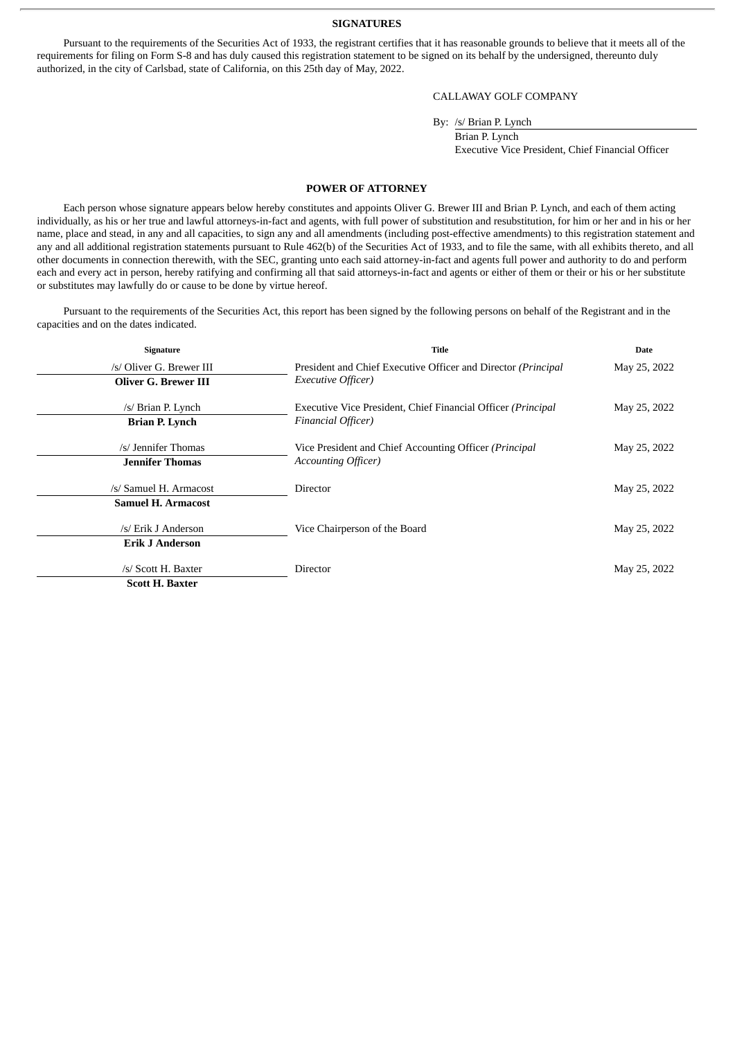**SIGNATURES**

<span id="page-6-0"></span>Pursuant to the requirements of the Securities Act of 1933, the registrant certifies that it has reasonable grounds to believe that it meets all of the requirements for filing on Form S-8 and has duly caused this registration statement to be signed on its behalf by the undersigned, thereunto duly authorized, in the city of Carlsbad, state of California, on this 25th day of May, 2022.

### CALLAWAY GOLF COMPANY

By: /s/ Brian P. Lynch

Brian P. Lynch

Executive Vice President, Chief Financial Officer

### **POWER OF ATTORNEY**

Each person whose signature appears below hereby constitutes and appoints Oliver G. Brewer III and Brian P. Lynch, and each of them acting individually, as his or her true and lawful attorneys-in-fact and agents, with full power of substitution and resubstitution, for him or her and in his or her name, place and stead, in any and all capacities, to sign any and all amendments (including post-effective amendments) to this registration statement and any and all additional registration statements pursuant to Rule 462(b) of the Securities Act of 1933, and to file the same, with all exhibits thereto, and all other documents in connection therewith, with the SEC, granting unto each said attorney-in-fact and agents full power and authority to do and perform each and every act in person, hereby ratifying and confirming all that said attorneys-in-fact and agents or either of them or their or his or her substitute or substitutes may lawfully do or cause to be done by virtue hereof.

Pursuant to the requirements of the Securities Act, this report has been signed by the following persons on behalf of the Registrant and in the capacities and on the dates indicated.

| Signature                   | Title                                                         | <b>Date</b>  |
|-----------------------------|---------------------------------------------------------------|--------------|
| /s/ Oliver G. Brewer III    | President and Chief Executive Officer and Director (Principal | May 25, 2022 |
| <b>Oliver G. Brewer III</b> | Executive Officer)                                            |              |
| /s/ Brian P. Lynch          | Executive Vice President, Chief Financial Officer (Principal  | May 25, 2022 |
| <b>Brian P. Lynch</b>       | <b>Financial Officer)</b>                                     |              |
| /s/ Jennifer Thomas         | Vice President and Chief Accounting Officer (Principal        | May 25, 2022 |
| <b>Jennifer Thomas</b>      | <b>Accounting Officer)</b>                                    |              |
|                             |                                                               |              |
| /s/ Samuel H. Armacost      | Director                                                      | May 25, 2022 |
| <b>Samuel H. Armacost</b>   |                                                               |              |
| /s/ Erik J Anderson         | Vice Chairperson of the Board                                 | May 25, 2022 |
| <b>Erik J Anderson</b>      |                                                               |              |
| /s/ Scott H. Baxter         | Director                                                      | May 25, 2022 |
| <b>Scott H. Baxter</b>      |                                                               |              |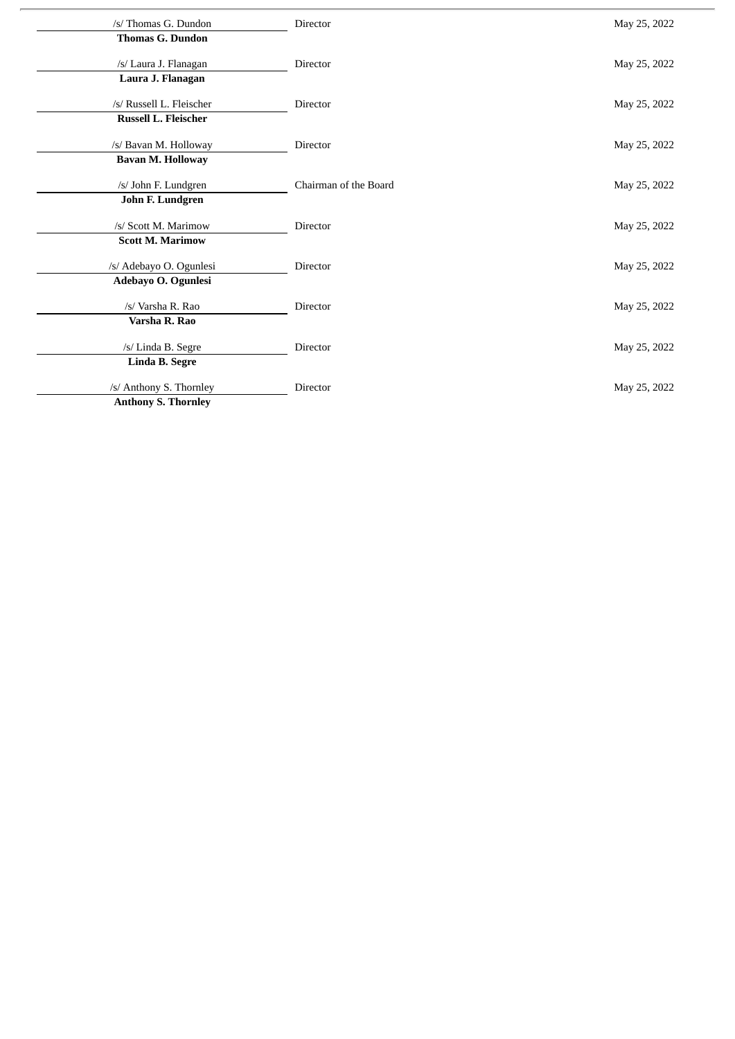| /s/ Thomas G. Dundon        | <b>Director</b>       | May 25, 2022 |
|-----------------------------|-----------------------|--------------|
| <b>Thomas G. Dundon</b>     |                       |              |
| /s/ Laura J. Flanagan       | Director              | May 25, 2022 |
| Laura J. Flanagan           |                       |              |
| /s/ Russell L. Fleischer    | Director              | May 25, 2022 |
| <b>Russell L. Fleischer</b> |                       |              |
| /s/ Bavan M. Holloway       | Director              | May 25, 2022 |
| <b>Bavan M. Holloway</b>    |                       |              |
| /s/ John F. Lundgren        | Chairman of the Board | May 25, 2022 |
| John F. Lundgren            |                       |              |
| /s/ Scott M. Marimow        | Director              | May 25, 2022 |
| <b>Scott M. Marimow</b>     |                       |              |
| /s/ Adebayo O. Ogunlesi     | Director              | May 25, 2022 |
| Adebayo O. Ogunlesi         |                       |              |
| /s/ Varsha R. Rao           | <b>Director</b>       | May 25, 2022 |
| Varsha R. Rao               |                       |              |
| /s/ Linda B. Segre          | <b>Director</b>       | May 25, 2022 |
| Linda B. Segre              |                       |              |
| /s/ Anthony S. Thornley     | Director              | May 25, 2022 |
| <b>Anthony S. Thornley</b>  |                       |              |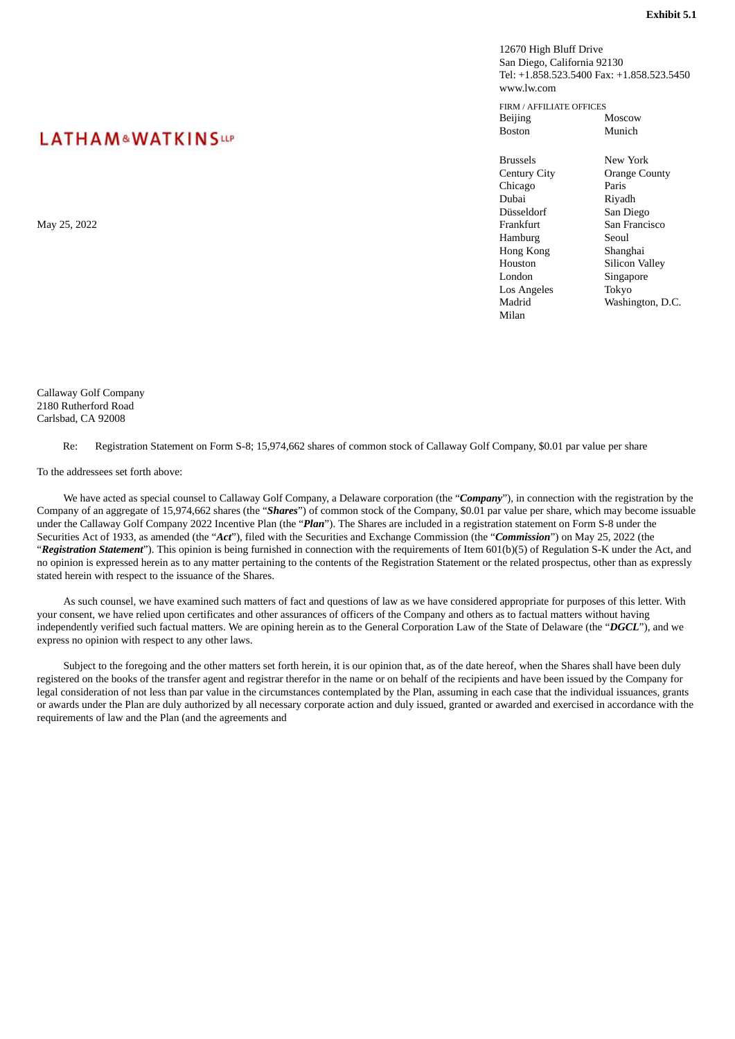### **Exhibit 5.1**

12670 High Bluff Drive San Diego, California 92130 Tel: +1.858.523.5400 Fax: +1.858.523.5450 www.lw.com

FIRM / AFFILIATE OFFICES Beijing Moscow Boston Munich

Brussels New York Chicago Paris Dubai Riyadh Düsseldorf San Diego Hamburg Seoul<br>Hong Kong Shanghai Hong Kong London Singapore Los Angeles Tokyo<br>Madrid Washir Milan

Century City Orange County May 25, 2022 **Frankfurt** San Francisco **San Francisco** San Francisco **San Francisco San Francisco** San Francisco Houston Silicon Valley Washington, D.C.

Callaway Golf Company 2180 Rutherford Road Carlsbad, CA 92008

Re: Registration Statement on Form S-8; 15,974,662 shares of common stock of Callaway Golf Company, \$0.01 par value per share

To the addressees set forth above:

We have acted as special counsel to Callaway Golf Company, a Delaware corporation (the "*Company*"), in connection with the registration by the Company of an aggregate of 15,974,662 shares (the "*Shares*") of common stock of the Company, \$0.01 par value per share, which may become issuable under the Callaway Golf Company 2022 Incentive Plan (the "*Plan*"). The Shares are included in a registration statement on Form S-8 under the Securities Act of 1933, as amended (the "*Act*"), filed with the Securities and Exchange Commission (the "*Commission*") on May 25, 2022 (the "*Registration Statement*"). This opinion is being furnished in connection with the requirements of Item 601(b)(5) of Regulation S-K under the Act, and no opinion is expressed herein as to any matter pertaining to the contents of the Registration Statement or the related prospectus, other than as expressly stated herein with respect to the issuance of the Shares.

As such counsel, we have examined such matters of fact and questions of law as we have considered appropriate for purposes of this letter. With your consent, we have relied upon certificates and other assurances of officers of the Company and others as to factual matters without having independently verified such factual matters. We are opining herein as to the General Corporation Law of the State of Delaware (the "*DGCL*"), and we express no opinion with respect to any other laws.

Subject to the foregoing and the other matters set forth herein, it is our opinion that, as of the date hereof, when the Shares shall have been duly registered on the books of the transfer agent and registrar therefor in the name or on behalf of the recipients and have been issued by the Company for legal consideration of not less than par value in the circumstances contemplated by the Plan, assuming in each case that the individual issuances, grants or awards under the Plan are duly authorized by all necessary corporate action and duly issued, granted or awarded and exercised in accordance with the requirements of law and the Plan (and the agreements and

### <span id="page-8-0"></span>**LATHAM&WATKINSLLP**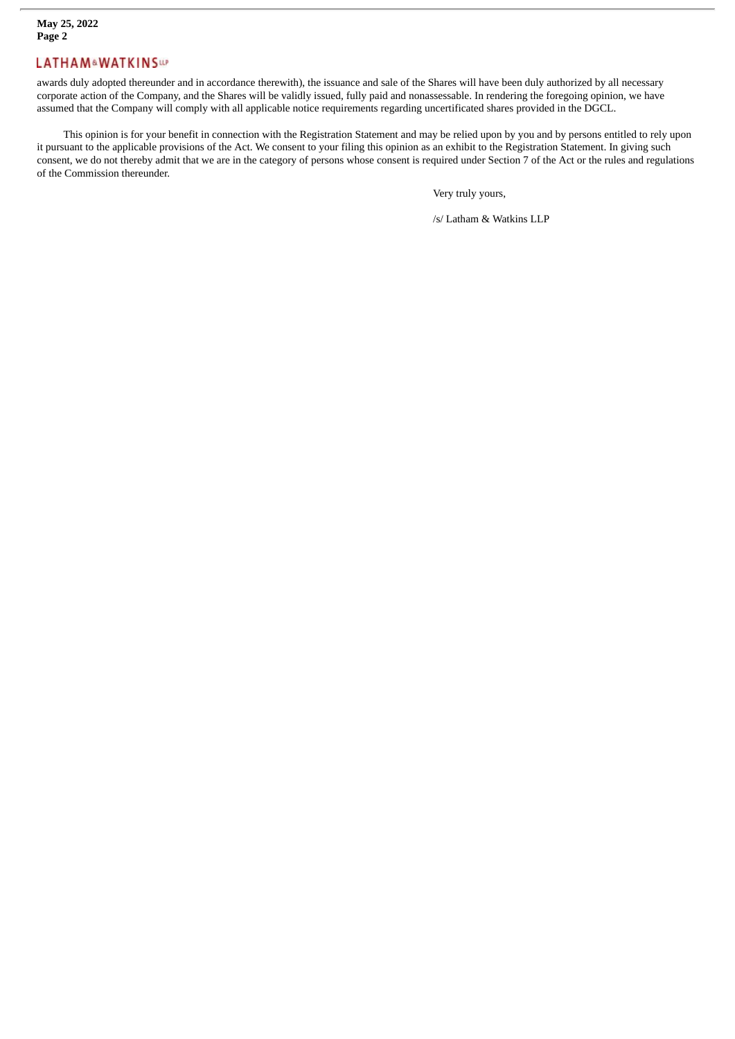### **LATHAM&WATKINSWP**

awards duly adopted thereunder and in accordance therewith), the issuance and sale of the Shares will have been duly authorized by all necessary corporate action of the Company, and the Shares will be validly issued, fully paid and nonassessable. In rendering the foregoing opinion, we have assumed that the Company will comply with all applicable notice requirements regarding uncertificated shares provided in the DGCL.

This opinion is for your benefit in connection with the Registration Statement and may be relied upon by you and by persons entitled to rely upon it pursuant to the applicable provisions of the Act. We consent to your filing this opinion as an exhibit to the Registration Statement. In giving such consent, we do not thereby admit that we are in the category of persons whose consent is required under Section 7 of the Act or the rules and regulations of the Commission thereunder.

Very truly yours,

/s/ Latham & Watkins LLP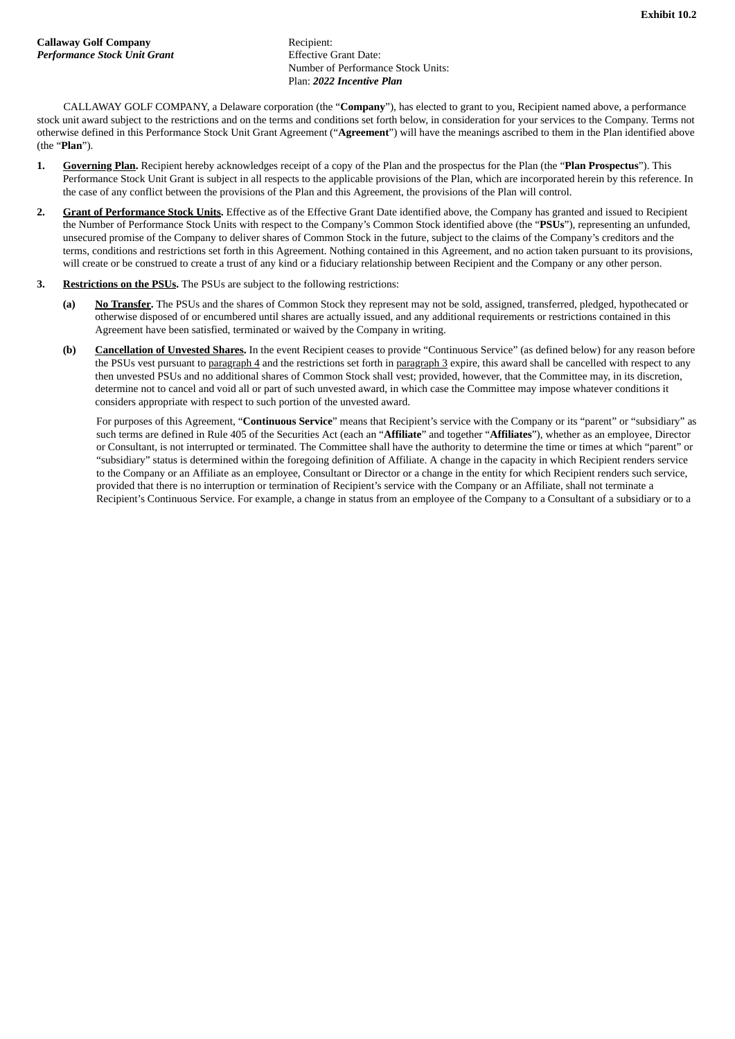Number of Performance Stock Units: Plan: *2022 Incentive Plan*

<span id="page-10-0"></span>CALLAWAY GOLF COMPANY, a Delaware corporation (the "**Company**"), has elected to grant to you, Recipient named above, a performance stock unit award subject to the restrictions and on the terms and conditions set forth below, in consideration for your services to the Company. Terms not otherwise defined in this Performance Stock Unit Grant Agreement ("**Agreement**") will have the meanings ascribed to them in the Plan identified above (the "**Plan**").

- **1. Governing Plan.** Recipient hereby acknowledges receipt of a copy of the Plan and the prospectus for the Plan (the "**Plan Prospectus**"). This Performance Stock Unit Grant is subject in all respects to the applicable provisions of the Plan, which are incorporated herein by this reference. In the case of any conflict between the provisions of the Plan and this Agreement, the provisions of the Plan will control.
- **2. Grant of Performance Stock Units.** Effective as of the Effective Grant Date identified above, the Company has granted and issued to Recipient the Number of Performance Stock Units with respect to the Company's Common Stock identified above (the "**PSUs**"), representing an unfunded, unsecured promise of the Company to deliver shares of Common Stock in the future, subject to the claims of the Company's creditors and the terms, conditions and restrictions set forth in this Agreement. Nothing contained in this Agreement, and no action taken pursuant to its provisions, will create or be construed to create a trust of any kind or a fiduciary relationship between Recipient and the Company or any other person.
- **3. Restrictions on the PSUs.** The PSUs are subject to the following restrictions:
	- **(a) No Transfer.** The PSUs and the shares of Common Stock they represent may not be sold, assigned, transferred, pledged, hypothecated or otherwise disposed of or encumbered until shares are actually issued, and any additional requirements or restrictions contained in this Agreement have been satisfied, terminated or waived by the Company in writing.
	- **(b) Cancellation of Unvested Shares.** In the event Recipient ceases to provide "Continuous Service" (as defined below) for any reason before the PSUs vest pursuant to paragraph 4 and the restrictions set forth in paragraph 3 expire, this award shall be cancelled with respect to any then unvested PSUs and no additional shares of Common Stock shall vest; provided, however, that the Committee may, in its discretion, determine not to cancel and void all or part of such unvested award, in which case the Committee may impose whatever conditions it considers appropriate with respect to such portion of the unvested award.

For purposes of this Agreement, "**Continuous Service**" means that Recipient's service with the Company or its "parent" or "subsidiary" as such terms are defined in Rule 405 of the Securities Act (each an "**Affiliate**" and together "**Affiliates**"), whether as an employee, Director or Consultant, is not interrupted or terminated. The Committee shall have the authority to determine the time or times at which "parent" or "subsidiary" status is determined within the foregoing definition of Affiliate. A change in the capacity in which Recipient renders service to the Company or an Affiliate as an employee, Consultant or Director or a change in the entity for which Recipient renders such service, provided that there is no interruption or termination of Recipient's service with the Company or an Affiliate, shall not terminate a Recipient's Continuous Service. For example, a change in status from an employee of the Company to a Consultant of a subsidiary or to a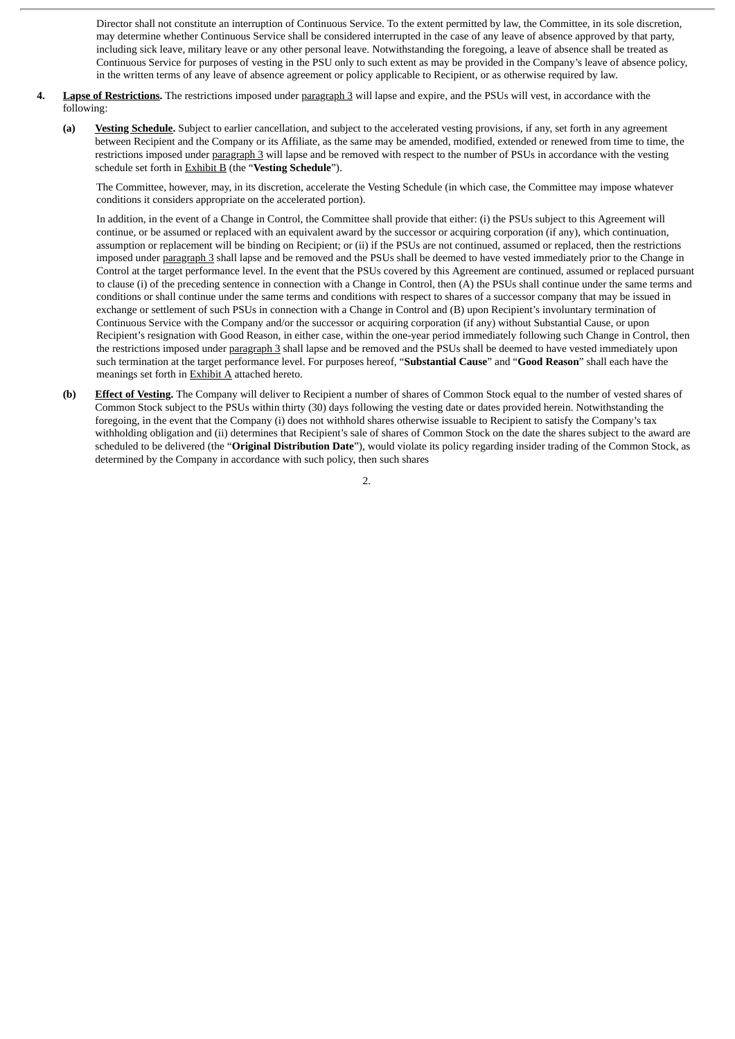Director shall not constitute an interruption of Continuous Service. To the extent permitted by law, the Committee, in its sole discretion, may determine whether Continuous Service shall be considered interrupted in the case of any leave of absence approved by that party, including sick leave, military leave or any other personal leave. Notwithstanding the foregoing, a leave of absence shall be treated as Continuous Service for purposes of vesting in the PSU only to such extent as may be provided in the Company's leave of absence policy, in the written terms of any leave of absence agreement or policy applicable to Recipient, or as otherwise required by law.

- **4. Lapse of Restrictions.** The restrictions imposed under paragraph 3 will lapse and expire, and the PSUs will vest, in accordance with the following:
	- **(a) Vesting Schedule.** Subject to earlier cancellation, and subject to the accelerated vesting provisions, if any, set forth in any agreement between Recipient and the Company or its Affiliate, as the same may be amended, modified, extended or renewed from time to time, the restrictions imposed under paragraph 3 will lapse and be removed with respect to the number of PSUs in accordance with the vesting schedule set forth in Exhibit B (the "**Vesting Schedule**").

The Committee, however, may, in its discretion, accelerate the Vesting Schedule (in which case, the Committee may impose whatever conditions it considers appropriate on the accelerated portion).

In addition, in the event of a Change in Control, the Committee shall provide that either: (i) the PSUs subject to this Agreement will continue, or be assumed or replaced with an equivalent award by the successor or acquiring corporation (if any), which continuation, assumption or replacement will be binding on Recipient; or (ii) if the PSUs are not continued, assumed or replaced, then the restrictions imposed under paragraph 3 shall lapse and be removed and the PSUs shall be deemed to have vested immediately prior to the Change in Control at the target performance level. In the event that the PSUs covered by this Agreement are continued, assumed or replaced pursuant to clause (i) of the preceding sentence in connection with a Change in Control, then (A) the PSUs shall continue under the same terms and conditions or shall continue under the same terms and conditions with respect to shares of a successor company that may be issued in exchange or settlement of such PSUs in connection with a Change in Control and (B) upon Recipient's involuntary termination of Continuous Service with the Company and/or the successor or acquiring corporation (if any) without Substantial Cause, or upon Recipient's resignation with Good Reason, in either case, within the one-year period immediately following such Change in Control, then the restrictions imposed under paragraph 3 shall lapse and be removed and the PSUs shall be deemed to have vested immediately upon such termination at the target performance level. For purposes hereof, "**Substantial Cause**" and "**Good Reason**" shall each have the meanings set forth in Exhibit A attached hereto.

**(b) Effect of Vesting.** The Company will deliver to Recipient a number of shares of Common Stock equal to the number of vested shares of Common Stock subject to the PSUs within thirty (30) days following the vesting date or dates provided herein. Notwithstanding the foregoing, in the event that the Company (i) does not withhold shares otherwise issuable to Recipient to satisfy the Company's tax withholding obligation and (ii) determines that Recipient's sale of shares of Common Stock on the date the shares subject to the award are scheduled to be delivered (the "**Original Distribution Date**"), would violate its policy regarding insider trading of the Common Stock, as determined by the Company in accordance with such policy, then such shares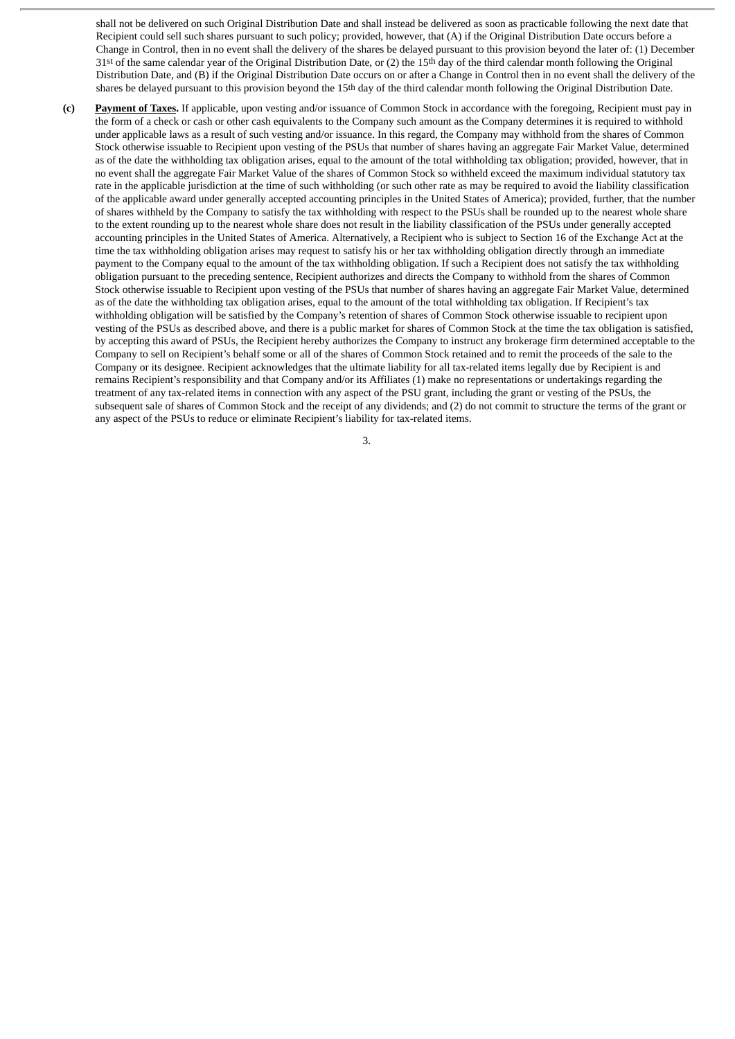shall not be delivered on such Original Distribution Date and shall instead be delivered as soon as practicable following the next date that Recipient could sell such shares pursuant to such policy; provided, however, that (A) if the Original Distribution Date occurs before a Change in Control, then in no event shall the delivery of the shares be delayed pursuant to this provision beyond the later of: (1) December 31st of the same calendar year of the Original Distribution Date, or (2) the 15th day of the third calendar month following the Original Distribution Date, and (B) if the Original Distribution Date occurs on or after a Change in Control then in no event shall the delivery of the shares be delayed pursuant to this provision beyond the 15th day of the third calendar month following the Original Distribution Date.

**(c) Payment of Taxes.** If applicable, upon vesting and/or issuance of Common Stock in accordance with the foregoing, Recipient must pay in the form of a check or cash or other cash equivalents to the Company such amount as the Company determines it is required to withhold under applicable laws as a result of such vesting and/or issuance. In this regard, the Company may withhold from the shares of Common Stock otherwise issuable to Recipient upon vesting of the PSUs that number of shares having an aggregate Fair Market Value, determined as of the date the withholding tax obligation arises, equal to the amount of the total withholding tax obligation; provided, however, that in no event shall the aggregate Fair Market Value of the shares of Common Stock so withheld exceed the maximum individual statutory tax rate in the applicable jurisdiction at the time of such withholding (or such other rate as may be required to avoid the liability classification of the applicable award under generally accepted accounting principles in the United States of America); provided, further, that the number of shares withheld by the Company to satisfy the tax withholding with respect to the PSUs shall be rounded up to the nearest whole share to the extent rounding up to the nearest whole share does not result in the liability classification of the PSUs under generally accepted accounting principles in the United States of America. Alternatively, a Recipient who is subject to Section 16 of the Exchange Act at the time the tax withholding obligation arises may request to satisfy his or her tax withholding obligation directly through an immediate payment to the Company equal to the amount of the tax withholding obligation. If such a Recipient does not satisfy the tax withholding obligation pursuant to the preceding sentence, Recipient authorizes and directs the Company to withhold from the shares of Common Stock otherwise issuable to Recipient upon vesting of the PSUs that number of shares having an aggregate Fair Market Value, determined as of the date the withholding tax obligation arises, equal to the amount of the total withholding tax obligation. If Recipient's tax withholding obligation will be satisfied by the Company's retention of shares of Common Stock otherwise issuable to recipient upon vesting of the PSUs as described above, and there is a public market for shares of Common Stock at the time the tax obligation is satisfied, by accepting this award of PSUs, the Recipient hereby authorizes the Company to instruct any brokerage firm determined acceptable to the Company to sell on Recipient's behalf some or all of the shares of Common Stock retained and to remit the proceeds of the sale to the Company or its designee. Recipient acknowledges that the ultimate liability for all tax-related items legally due by Recipient is and remains Recipient's responsibility and that Company and/or its Affiliates (1) make no representations or undertakings regarding the treatment of any tax-related items in connection with any aspect of the PSU grant, including the grant or vesting of the PSUs, the subsequent sale of shares of Common Stock and the receipt of any dividends; and (2) do not commit to structure the terms of the grant or any aspect of the PSUs to reduce or eliminate Recipient's liability for tax-related items.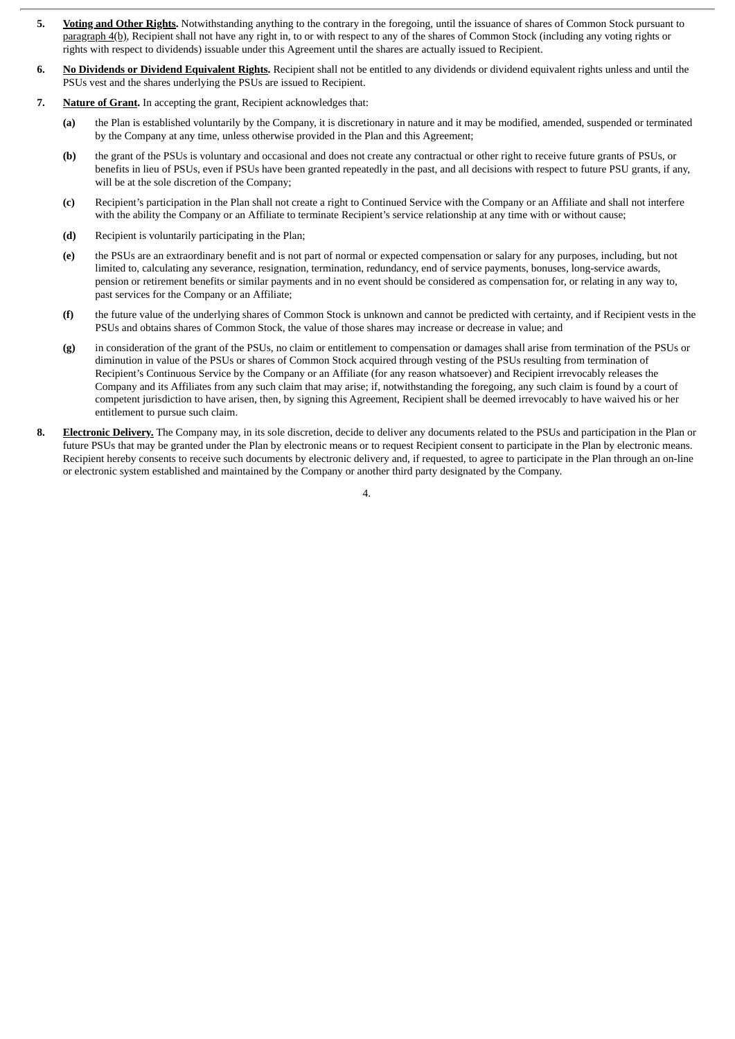- **5. Voting and Other Rights.** Notwithstanding anything to the contrary in the foregoing, until the issuance of shares of Common Stock pursuant to paragraph 4(b), Recipient shall not have any right in, to or with respect to any of the shares of Common Stock (including any voting rights or rights with respect to dividends) issuable under this Agreement until the shares are actually issued to Recipient.
- **6. No Dividends or Dividend Equivalent Rights.** Recipient shall not be entitled to any dividends or dividend equivalent rights unless and until the PSUs vest and the shares underlying the PSUs are issued to Recipient.
- **7. Nature of Grant.** In accepting the grant, Recipient acknowledges that:
	- **(a)** the Plan is established voluntarily by the Company, it is discretionary in nature and it may be modified, amended, suspended or terminated by the Company at any time, unless otherwise provided in the Plan and this Agreement;
	- **(b)** the grant of the PSUs is voluntary and occasional and does not create any contractual or other right to receive future grants of PSUs, or benefits in lieu of PSUs, even if PSUs have been granted repeatedly in the past, and all decisions with respect to future PSU grants, if any, will be at the sole discretion of the Company;
	- **(c)** Recipient's participation in the Plan shall not create a right to Continued Service with the Company or an Affiliate and shall not interfere with the ability the Company or an Affiliate to terminate Recipient's service relationship at any time with or without cause;
	- **(d)** Recipient is voluntarily participating in the Plan;
	- **(e)** the PSUs are an extraordinary benefit and is not part of normal or expected compensation or salary for any purposes, including, but not limited to, calculating any severance, resignation, termination, redundancy, end of service payments, bonuses, long-service awards, pension or retirement benefits or similar payments and in no event should be considered as compensation for, or relating in any way to, past services for the Company or an Affiliate;
	- **(f)** the future value of the underlying shares of Common Stock is unknown and cannot be predicted with certainty, and if Recipient vests in the PSUs and obtains shares of Common Stock, the value of those shares may increase or decrease in value; and
	- **(g)** in consideration of the grant of the PSUs, no claim or entitlement to compensation or damages shall arise from termination of the PSUs or diminution in value of the PSUs or shares of Common Stock acquired through vesting of the PSUs resulting from termination of Recipient's Continuous Service by the Company or an Affiliate (for any reason whatsoever) and Recipient irrevocably releases the Company and its Affiliates from any such claim that may arise; if, notwithstanding the foregoing, any such claim is found by a court of competent jurisdiction to have arisen, then, by signing this Agreement, Recipient shall be deemed irrevocably to have waived his or her entitlement to pursue such claim.
- **8. Electronic Delivery.** The Company may, in its sole discretion, decide to deliver any documents related to the PSUs and participation in the Plan or future PSUs that may be granted under the Plan by electronic means or to request Recipient consent to participate in the Plan by electronic means. Recipient hereby consents to receive such documents by electronic delivery and, if requested, to agree to participate in the Plan through an on-line or electronic system established and maintained by the Company or another third party designated by the Company.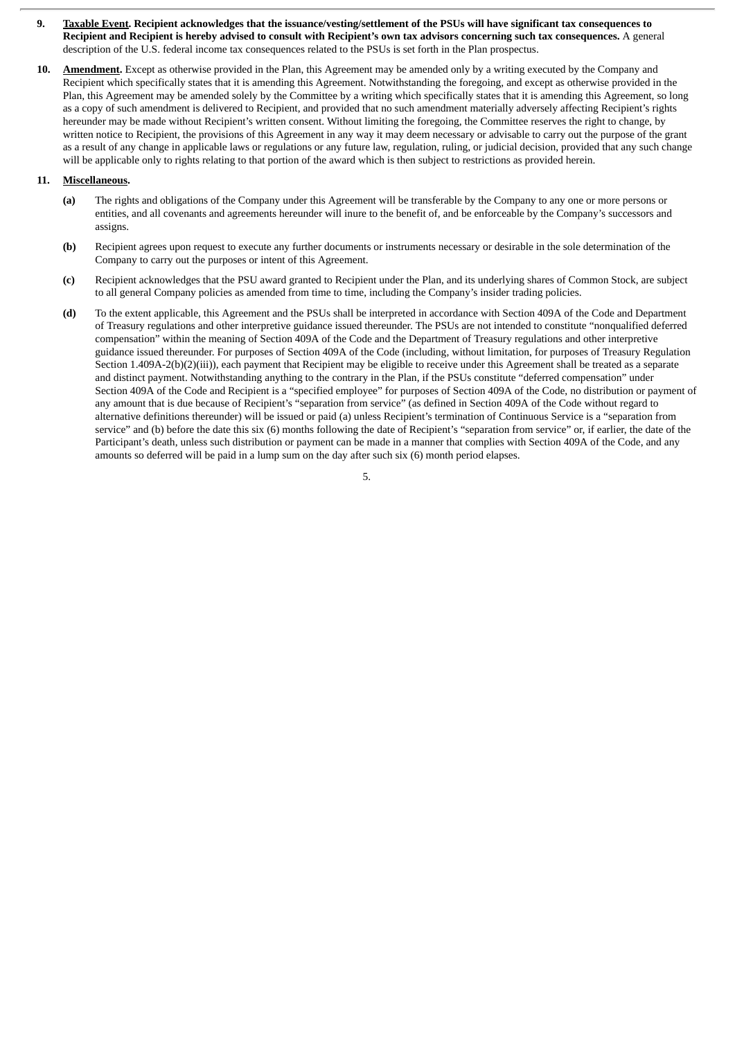- 9. Taxable Event. Recipient acknowledges that the issuance/vesting/settlement of the PSUs will have significant tax consequences to Recipient and Recipient is hereby advised to consult with Recipient's own tax advisors concerning such tax consequences. A general description of the U.S. federal income tax consequences related to the PSUs is set forth in the Plan prospectus.
- **10. Amendment.** Except as otherwise provided in the Plan, this Agreement may be amended only by a writing executed by the Company and Recipient which specifically states that it is amending this Agreement. Notwithstanding the foregoing, and except as otherwise provided in the Plan, this Agreement may be amended solely by the Committee by a writing which specifically states that it is amending this Agreement, so long as a copy of such amendment is delivered to Recipient, and provided that no such amendment materially adversely affecting Recipient's rights hereunder may be made without Recipient's written consent. Without limiting the foregoing, the Committee reserves the right to change, by written notice to Recipient, the provisions of this Agreement in any way it may deem necessary or advisable to carry out the purpose of the grant as a result of any change in applicable laws or regulations or any future law, regulation, ruling, or judicial decision, provided that any such change will be applicable only to rights relating to that portion of the award which is then subject to restrictions as provided herein.

### **11. Miscellaneous.**

- **(a)** The rights and obligations of the Company under this Agreement will be transferable by the Company to any one or more persons or entities, and all covenants and agreements hereunder will inure to the benefit of, and be enforceable by the Company's successors and assigns.
- **(b)** Recipient agrees upon request to execute any further documents or instruments necessary or desirable in the sole determination of the Company to carry out the purposes or intent of this Agreement.
- **(c)** Recipient acknowledges that the PSU award granted to Recipient under the Plan, and its underlying shares of Common Stock, are subject to all general Company policies as amended from time to time, including the Company's insider trading policies.
- **(d)** To the extent applicable, this Agreement and the PSUs shall be interpreted in accordance with Section 409A of the Code and Department of Treasury regulations and other interpretive guidance issued thereunder. The PSUs are not intended to constitute "nonqualified deferred compensation" within the meaning of Section 409A of the Code and the Department of Treasury regulations and other interpretive guidance issued thereunder. For purposes of Section 409A of the Code (including, without limitation, for purposes of Treasury Regulation Section 1.409A-2(b)(2)(iii)), each payment that Recipient may be eligible to receive under this Agreement shall be treated as a separate and distinct payment. Notwithstanding anything to the contrary in the Plan, if the PSUs constitute "deferred compensation" under Section 409A of the Code and Recipient is a "specified employee" for purposes of Section 409A of the Code, no distribution or payment of any amount that is due because of Recipient's "separation from service" (as defined in Section 409A of the Code without regard to alternative definitions thereunder) will be issued or paid (a) unless Recipient's termination of Continuous Service is a "separation from service" and (b) before the date this six (6) months following the date of Recipient's "separation from service" or, if earlier, the date of the Participant's death, unless such distribution or payment can be made in a manner that complies with Section 409A of the Code, and any amounts so deferred will be paid in a lump sum on the day after such six (6) month period elapses.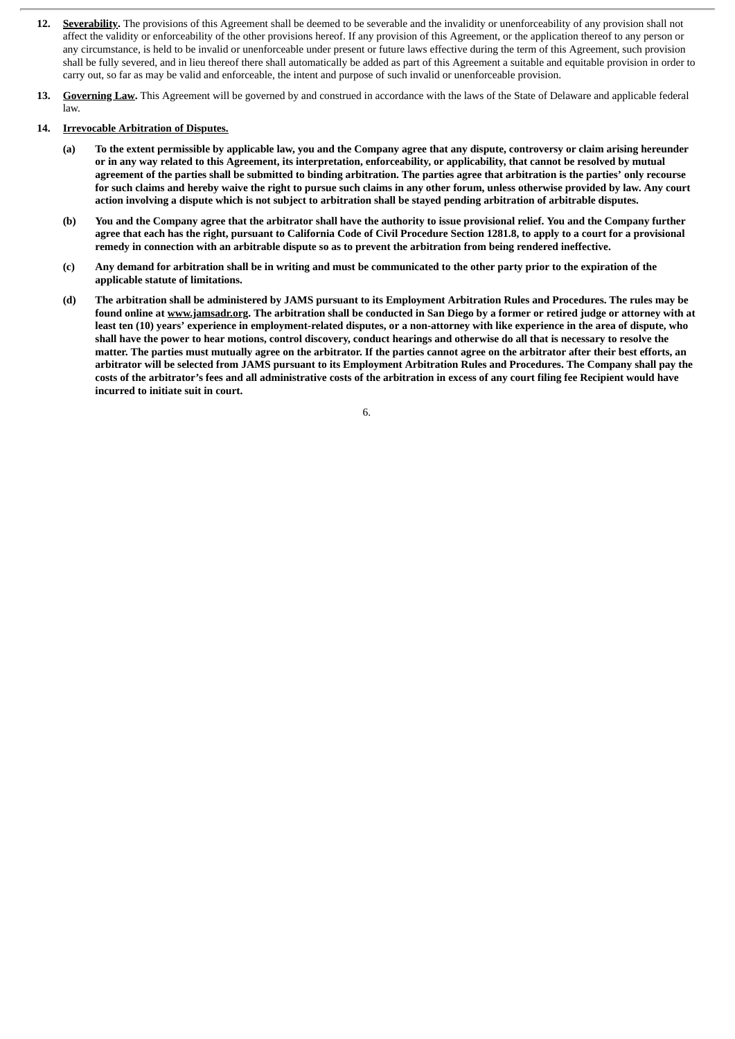- **12. Severability.** The provisions of this Agreement shall be deemed to be severable and the invalidity or unenforceability of any provision shall not affect the validity or enforceability of the other provisions hereof. If any provision of this Agreement, or the application thereof to any person or any circumstance, is held to be invalid or unenforceable under present or future laws effective during the term of this Agreement, such provision shall be fully severed, and in lieu thereof there shall automatically be added as part of this Agreement a suitable and equitable provision in order to carry out, so far as may be valid and enforceable, the intent and purpose of such invalid or unenforceable provision.
- **13. Governing Law.** This Agreement will be governed by and construed in accordance with the laws of the State of Delaware and applicable federal law.
- **14. Irrevocable Arbitration of Disputes.**
	- (a) To the extent permissible by applicable law, you and the Company agree that any dispute, controversy or claim arising hereunder or in any way related to this Agreement, its interpretation, enforceability, or applicability, that cannot be resolved by mutual agreement of the parties shall be submitted to binding arbitration. The parties agree that arbitration is the parties' only recourse for such claims and hereby waive the right to pursue such claims in any other forum, unless otherwise provided by law. Any court action involving a dispute which is not subject to arbitration shall be stayed pending arbitration of arbitrable disputes.
	- (b) You and the Company agree that the arbitrator shall have the authority to issue provisional relief. You and the Company further agree that each has the right, pursuant to California Code of Civil Procedure Section 1281.8, to apply to a court for a provisional remedy in connection with an arbitrable dispute so as to prevent the arbitration from being rendered ineffective.
	- (c) Any demand for arbitration shall be in writing and must be communicated to the other party prior to the expiration of the **applicable statute of limitations.**
	- (d) The arbitration shall be administered by JAMS pursuant to its Employment Arbitration Rules and Procedures. The rules may be found online at www.jamsadr.org. The arbitration shall be conducted in San Diego by a former or retired judge or attorney with at least ten (10) years' experience in employment-related disputes, or a non-attorney with like experience in the area of dispute, who shall have the power to hear motions, control discovery, conduct hearings and otherwise do all that is necessary to resolve the matter. The parties must mutually agree on the arbitrator. If the parties cannot agree on the arbitrator after their best efforts, an arbitrator will be selected from JAMS pursuant to its Employment Arbitration Rules and Procedures. The Company shall pay the costs of the arbitrator's fees and all administrative costs of the arbitration in excess of any court filing fee Recipient would have **incurred to initiate suit in court.**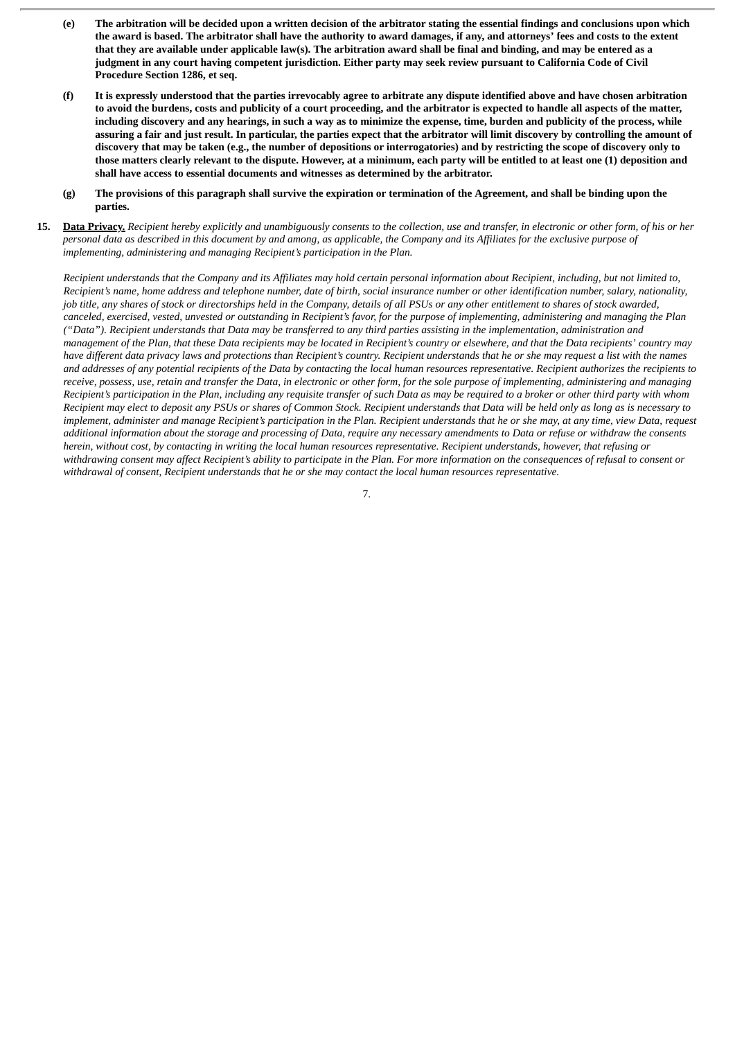- (e) The arbitration will be decided upon a written decision of the arbitrator stating the essential findings and conclusions upon which the award is based. The arbitrator shall have the authority to award damages, if any, and attorneys' fees and costs to the extent that they are available under applicable law(s). The arbitration award shall be final and binding, and may be entered as a judgment in any court having competent jurisdiction. Either party may seek review pursuant to California Code of Civil **Procedure Section 1286, et seq.**
- (f) It is expressly understood that the parties irrevocably agree to arbitrate any dispute identified above and have chosen arbitration to avoid the burdens, costs and publicity of a court proceeding, and the arbitrator is expected to handle all aspects of the matter, including discovery and any hearings, in such a way as to minimize the expense, time, burden and publicity of the process, while assuring a fair and just result. In particular, the parties expect that the arbitrator will limit discovery by controlling the amount of discovery that may be taken (e.g., the number of depositions or interrogatories) and by restricting the scope of discovery only to those matters clearly relevant to the dispute. However, at a minimum, each party will be entitled to at least one (1) deposition and **shall have access to essential documents and witnesses as determined by the arbitrator.**
- (g) The provisions of this paragraph shall survive the expiration or termination of the Agreement, and shall be binding upon the **parties.**
- 15. Data Privacy, Recipient hereby explicitly and unambiguously consents to the collection, use and transfer, in electronic or other form, of his or her personal data as described in this document by and among, as applicable, the Company and its Affiliates for the exclusive purpose of *implementing, administering and managing Recipient's participation in the Plan.*

Recipient understands that the Company and its Affiliates may hold certain personal information about Recipient, including, but not limited to, Recipient's name, home address and telephone number, date of birth, social insurance number or other identification number, salary, nationality, job title, any shares of stock or directorships held in the Company, details of all PSUs or any other entitlement to shares of stock awarded, canceled, exercised, vested, unvested or outstanding in Recipient's favor, for the purpose of implementing, administering and managing the Plan ("Data"). Recipient understands that Data may be transferred to any third parties assisting in the implementation, administration and management of the Plan, that these Data recipients may be located in Recipient's country or elsewhere, and that the Data recipients' country may have different data privacy laws and protections than Recipient's country. Recipient understands that he or she may request a list with the names and addresses of any potential recipients of the Data by contacting the local human resources representative. Recipient authorizes the recipients to receive, possess, use, retain and transfer the Data, in electronic or other form, for the sole purpose of implementing, administering and managing Recipient's participation in the Plan, including any requisite transfer of such Data as may be required to a broker or other third party with whom Recipient may elect to deposit any PSUs or shares of Common Stock. Recipient understands that Data will be held only as long as is necessary to implement, administer and manage Recipient's participation in the Plan. Recipient understands that he or she may, at any time, view Data, request additional information about the storage and processing of Data, require any necessary amendments to Data or refuse or withdraw the consents herein, without cost, by contacting in writing the local human resources representative. Recipient understands, however, that refusing or withdrawing consent may affect Recipient's ability to participate in the Plan. For more information on the consequences of refusal to consent or withdrawal of consent. Recipient understands that he or she may contact the local human resources representative.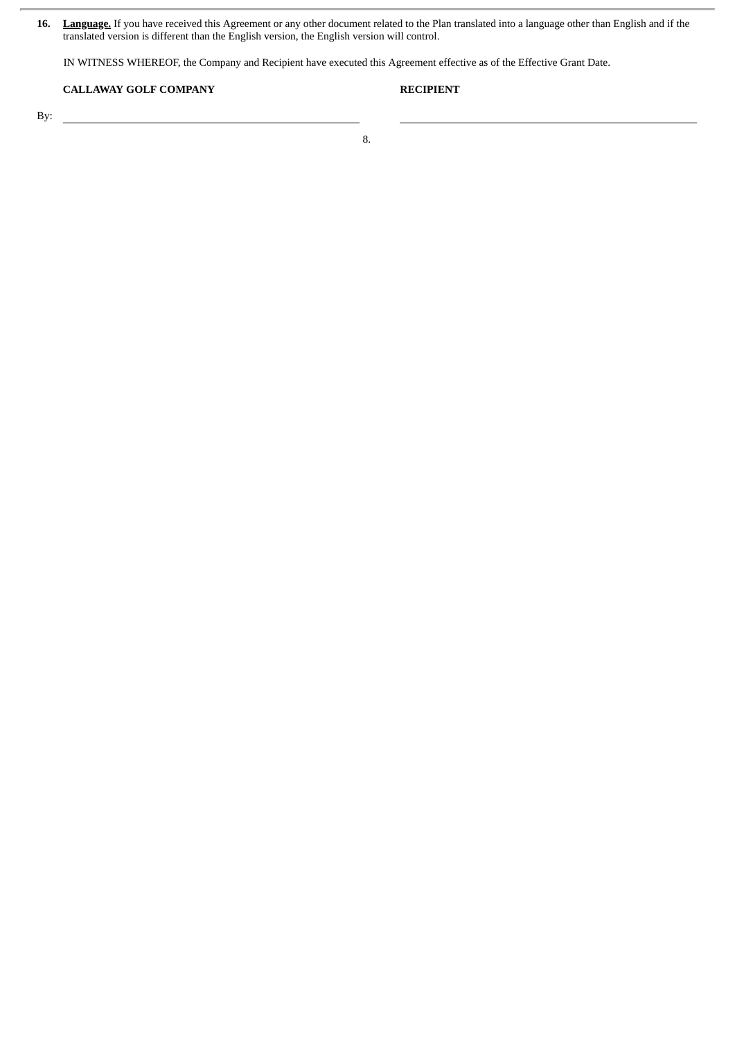**16. Language.** If you have received this Agreement or any other document related to the Plan translated into a language other than English and if the translated version is different than the English version, the English version will control.

IN WITNESS WHEREOF, the Company and Recipient have executed this Agreement effective as of the Effective Grant Date.

### **CALLAWAY GOLF COMPANY RECIPIENT**

By: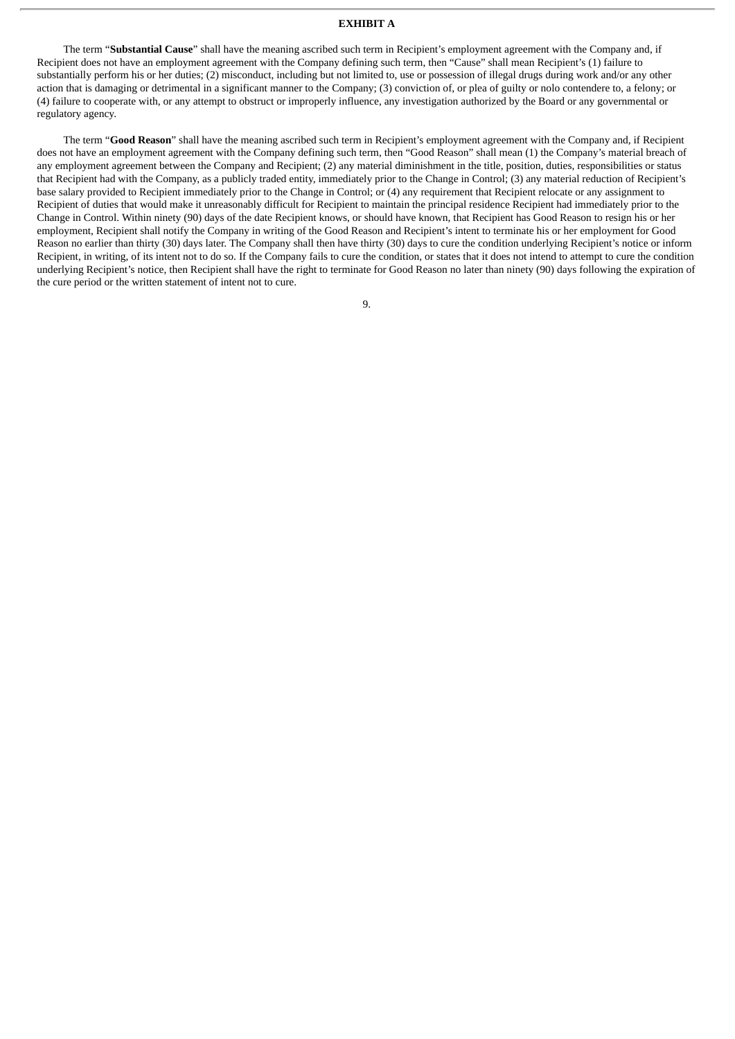### **EXHIBIT A**

The term "**Substantial Cause**" shall have the meaning ascribed such term in Recipient's employment agreement with the Company and, if Recipient does not have an employment agreement with the Company defining such term, then "Cause" shall mean Recipient's (1) failure to substantially perform his or her duties; (2) misconduct, including but not limited to, use or possession of illegal drugs during work and/or any other action that is damaging or detrimental in a significant manner to the Company; (3) conviction of, or plea of guilty or nolo contendere to, a felony; or (4) failure to cooperate with, or any attempt to obstruct or improperly influence, any investigation authorized by the Board or any governmental or regulatory agency.

The term "**Good Reason**" shall have the meaning ascribed such term in Recipient's employment agreement with the Company and, if Recipient does not have an employment agreement with the Company defining such term, then "Good Reason" shall mean (1) the Company's material breach of any employment agreement between the Company and Recipient; (2) any material diminishment in the title, position, duties, responsibilities or status that Recipient had with the Company, as a publicly traded entity, immediately prior to the Change in Control; (3) any material reduction of Recipient's base salary provided to Recipient immediately prior to the Change in Control; or (4) any requirement that Recipient relocate or any assignment to Recipient of duties that would make it unreasonably difficult for Recipient to maintain the principal residence Recipient had immediately prior to the Change in Control. Within ninety (90) days of the date Recipient knows, or should have known, that Recipient has Good Reason to resign his or her employment, Recipient shall notify the Company in writing of the Good Reason and Recipient's intent to terminate his or her employment for Good Reason no earlier than thirty (30) days later. The Company shall then have thirty (30) days to cure the condition underlying Recipient's notice or inform Recipient, in writing, of its intent not to do so. If the Company fails to cure the condition, or states that it does not intend to attempt to cure the condition underlying Recipient's notice, then Recipient shall have the right to terminate for Good Reason no later than ninety (90) days following the expiration of the cure period or the written statement of intent not to cure.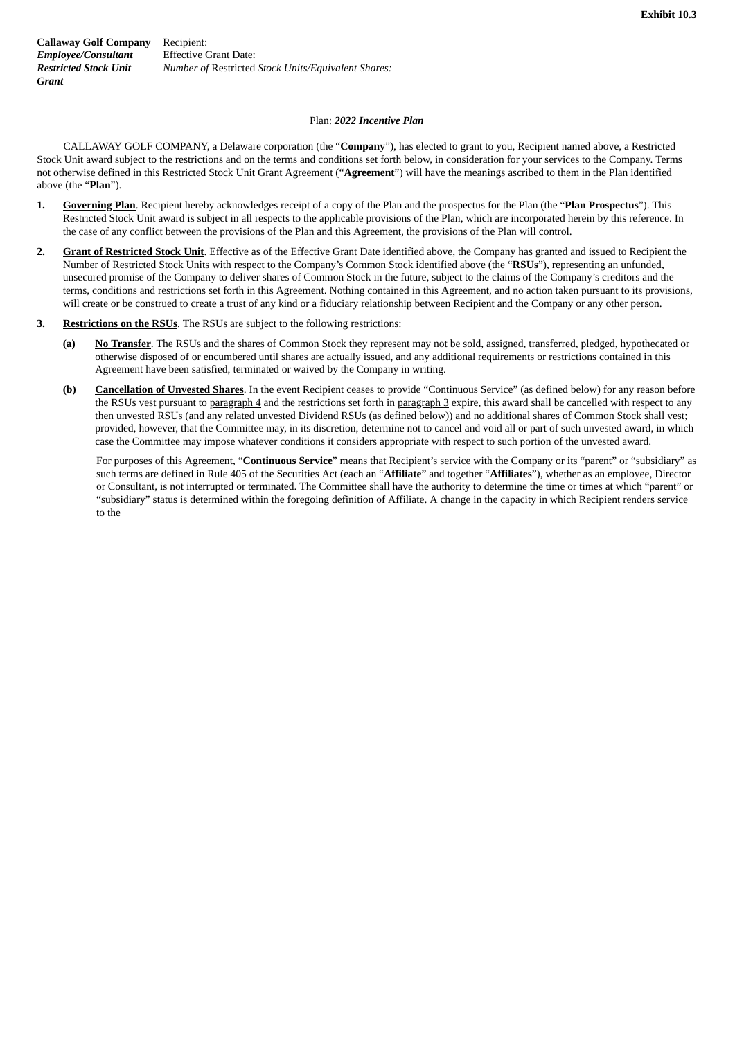### Plan: *2022 Incentive Plan*

<span id="page-19-0"></span>CALLAWAY GOLF COMPANY, a Delaware corporation (the "**Company**"), has elected to grant to you, Recipient named above, a Restricted Stock Unit award subject to the restrictions and on the terms and conditions set forth below, in consideration for your services to the Company. Terms not otherwise defined in this Restricted Stock Unit Grant Agreement ("**Agreement**") will have the meanings ascribed to them in the Plan identified above (the "**Plan**").

- **1. Governing Plan**. Recipient hereby acknowledges receipt of a copy of the Plan and the prospectus for the Plan (the "**Plan Prospectus**"). This Restricted Stock Unit award is subject in all respects to the applicable provisions of the Plan, which are incorporated herein by this reference. In the case of any conflict between the provisions of the Plan and this Agreement, the provisions of the Plan will control.
- **2. Grant of Restricted Stock Unit**. Effective as of the Effective Grant Date identified above, the Company has granted and issued to Recipient the Number of Restricted Stock Units with respect to the Company's Common Stock identified above (the "**RSUs**"), representing an unfunded, unsecured promise of the Company to deliver shares of Common Stock in the future, subject to the claims of the Company's creditors and the terms, conditions and restrictions set forth in this Agreement. Nothing contained in this Agreement, and no action taken pursuant to its provisions, will create or be construed to create a trust of any kind or a fiduciary relationship between Recipient and the Company or any other person.
- **3. Restrictions on the RSUs**. The RSUs are subject to the following restrictions:
	- **(a) No Transfer**. The RSUs and the shares of Common Stock they represent may not be sold, assigned, transferred, pledged, hypothecated or otherwise disposed of or encumbered until shares are actually issued, and any additional requirements or restrictions contained in this Agreement have been satisfied, terminated or waived by the Company in writing.
	- **(b) Cancellation of Unvested Shares**. In the event Recipient ceases to provide "Continuous Service" (as defined below) for any reason before the RSUs vest pursuant to paragraph 4 and the restrictions set forth in paragraph 3 expire, this award shall be cancelled with respect to any then unvested RSUs (and any related unvested Dividend RSUs (as defined below)) and no additional shares of Common Stock shall vest; provided, however, that the Committee may, in its discretion, determine not to cancel and void all or part of such unvested award, in which case the Committee may impose whatever conditions it considers appropriate with respect to such portion of the unvested award.

For purposes of this Agreement, "**Continuous Service**" means that Recipient's service with the Company or its "parent" or "subsidiary" as such terms are defined in Rule 405 of the Securities Act (each an "**Affiliate**" and together "**Affiliates**"), whether as an employee, Director or Consultant, is not interrupted or terminated. The Committee shall have the authority to determine the time or times at which "parent" or "subsidiary" status is determined within the foregoing definition of Affiliate. A change in the capacity in which Recipient renders service to the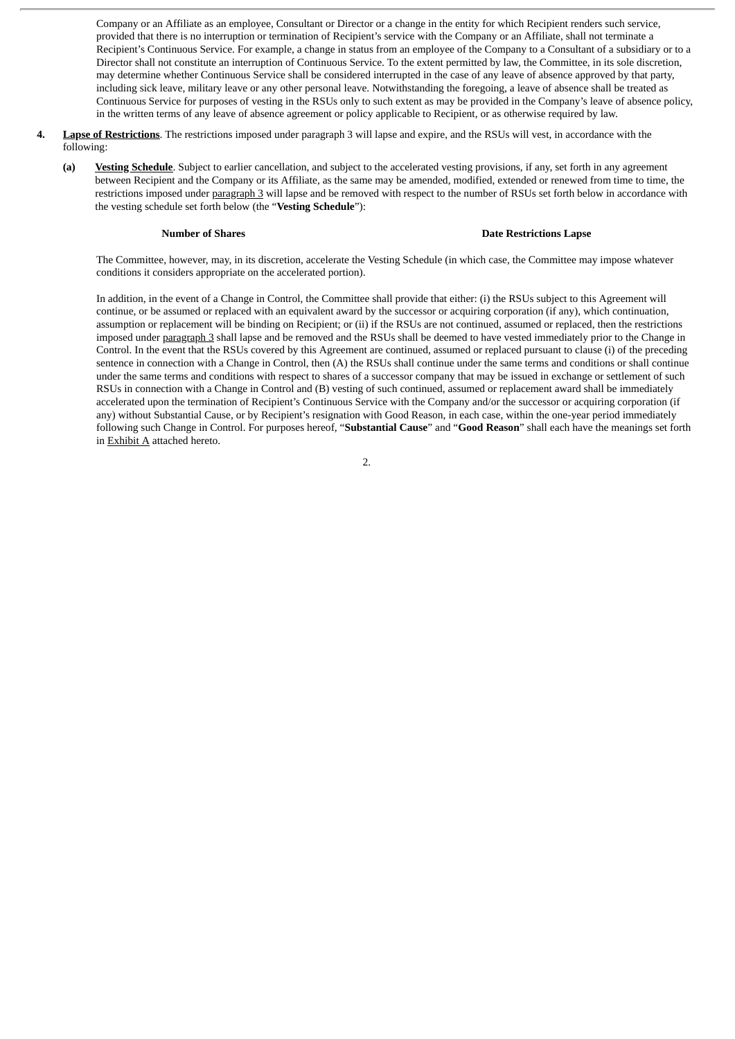Company or an Affiliate as an employee, Consultant or Director or a change in the entity for which Recipient renders such service, provided that there is no interruption or termination of Recipient's service with the Company or an Affiliate, shall not terminate a Recipient's Continuous Service. For example, a change in status from an employee of the Company to a Consultant of a subsidiary or to a Director shall not constitute an interruption of Continuous Service. To the extent permitted by law, the Committee, in its sole discretion, may determine whether Continuous Service shall be considered interrupted in the case of any leave of absence approved by that party, including sick leave, military leave or any other personal leave. Notwithstanding the foregoing, a leave of absence shall be treated as Continuous Service for purposes of vesting in the RSUs only to such extent as may be provided in the Company's leave of absence policy, in the written terms of any leave of absence agreement or policy applicable to Recipient, or as otherwise required by law.

- **4. Lapse of Restrictions**. The restrictions imposed under paragraph 3 will lapse and expire, and the RSUs will vest, in accordance with the following:
	- **(a) Vesting Schedule**. Subject to earlier cancellation, and subject to the accelerated vesting provisions, if any, set forth in any agreement between Recipient and the Company or its Affiliate, as the same may be amended, modified, extended or renewed from time to time, the restrictions imposed under paragraph 3 will lapse and be removed with respect to the number of RSUs set forth below in accordance with the vesting schedule set forth below (the "**Vesting Schedule**"):

### **Number of Shares Date Restrictions Lapse**

The Committee, however, may, in its discretion, accelerate the Vesting Schedule (in which case, the Committee may impose whatever conditions it considers appropriate on the accelerated portion).

In addition, in the event of a Change in Control, the Committee shall provide that either: (i) the RSUs subject to this Agreement will continue, or be assumed or replaced with an equivalent award by the successor or acquiring corporation (if any), which continuation, assumption or replacement will be binding on Recipient; or (ii) if the RSUs are not continued, assumed or replaced, then the restrictions imposed under paragraph 3 shall lapse and be removed and the RSUs shall be deemed to have vested immediately prior to the Change in Control. In the event that the RSUs covered by this Agreement are continued, assumed or replaced pursuant to clause (i) of the preceding sentence in connection with a Change in Control, then (A) the RSUs shall continue under the same terms and conditions or shall continue under the same terms and conditions with respect to shares of a successor company that may be issued in exchange or settlement of such RSUs in connection with a Change in Control and (B) vesting of such continued, assumed or replacement award shall be immediately accelerated upon the termination of Recipient's Continuous Service with the Company and/or the successor or acquiring corporation (if any) without Substantial Cause, or by Recipient's resignation with Good Reason, in each case, within the one-year period immediately following such Change in Control. For purposes hereof, "**Substantial Cause**" and "**Good Reason**" shall each have the meanings set forth in Exhibit  $\underline{A}$  attached hereto.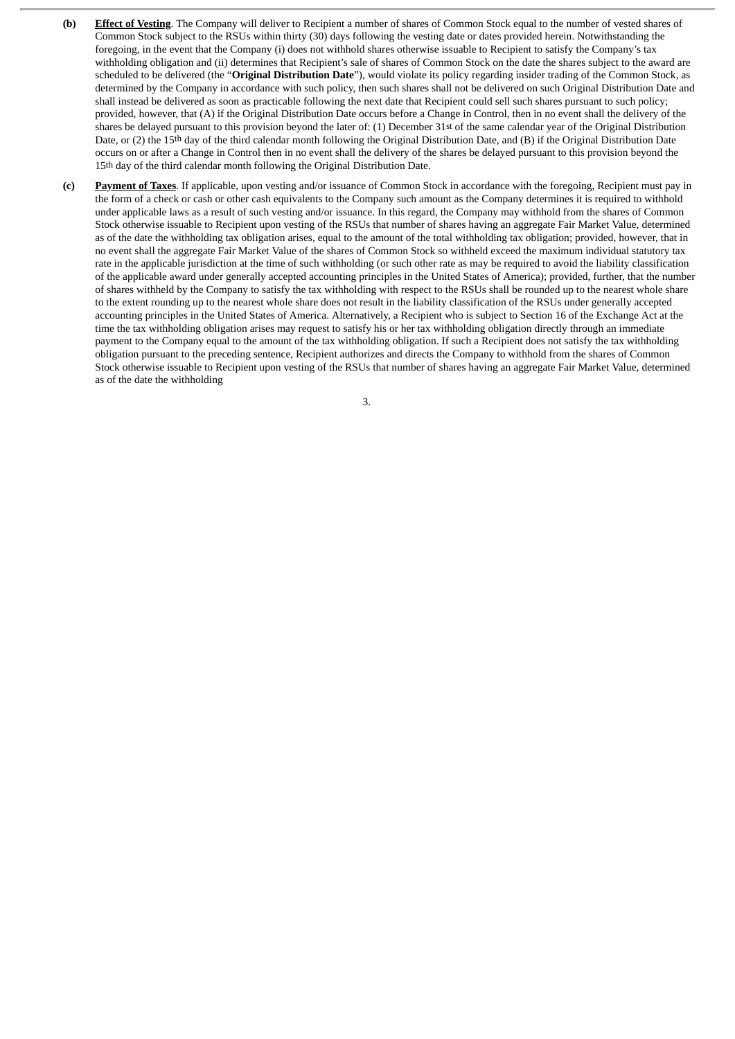- **(b) Effect of Vesting**. The Company will deliver to Recipient a number of shares of Common Stock equal to the number of vested shares of Common Stock subject to the RSUs within thirty (30) days following the vesting date or dates provided herein. Notwithstanding the foregoing, in the event that the Company (i) does not withhold shares otherwise issuable to Recipient to satisfy the Company's tax withholding obligation and (ii) determines that Recipient's sale of shares of Common Stock on the date the shares subject to the award are scheduled to be delivered (the "**Original Distribution Date**"), would violate its policy regarding insider trading of the Common Stock, as determined by the Company in accordance with such policy, then such shares shall not be delivered on such Original Distribution Date and shall instead be delivered as soon as practicable following the next date that Recipient could sell such shares pursuant to such policy; provided, however, that (A) if the Original Distribution Date occurs before a Change in Control, then in no event shall the delivery of the shares be delayed pursuant to this provision beyond the later of: (1) December 31st of the same calendar year of the Original Distribution Date, or (2) the 15th day of the third calendar month following the Original Distribution Date, and (B) if the Original Distribution Date occurs on or after a Change in Control then in no event shall the delivery of the shares be delayed pursuant to this provision beyond the 15th day of the third calendar month following the Original Distribution Date.
- **(c) Payment of Taxes**. If applicable, upon vesting and/or issuance of Common Stock in accordance with the foregoing, Recipient must pay in the form of a check or cash or other cash equivalents to the Company such amount as the Company determines it is required to withhold under applicable laws as a result of such vesting and/or issuance. In this regard, the Company may withhold from the shares of Common Stock otherwise issuable to Recipient upon vesting of the RSUs that number of shares having an aggregate Fair Market Value, determined as of the date the withholding tax obligation arises, equal to the amount of the total withholding tax obligation; provided, however, that in no event shall the aggregate Fair Market Value of the shares of Common Stock so withheld exceed the maximum individual statutory tax rate in the applicable jurisdiction at the time of such withholding (or such other rate as may be required to avoid the liability classification of the applicable award under generally accepted accounting principles in the United States of America); provided, further, that the number of shares withheld by the Company to satisfy the tax withholding with respect to the RSUs shall be rounded up to the nearest whole share to the extent rounding up to the nearest whole share does not result in the liability classification of the RSUs under generally accepted accounting principles in the United States of America. Alternatively, a Recipient who is subject to Section 16 of the Exchange Act at the time the tax withholding obligation arises may request to satisfy his or her tax withholding obligation directly through an immediate payment to the Company equal to the amount of the tax withholding obligation. If such a Recipient does not satisfy the tax withholding obligation pursuant to the preceding sentence, Recipient authorizes and directs the Company to withhold from the shares of Common Stock otherwise issuable to Recipient upon vesting of the RSUs that number of shares having an aggregate Fair Market Value, determined as of the date the withholding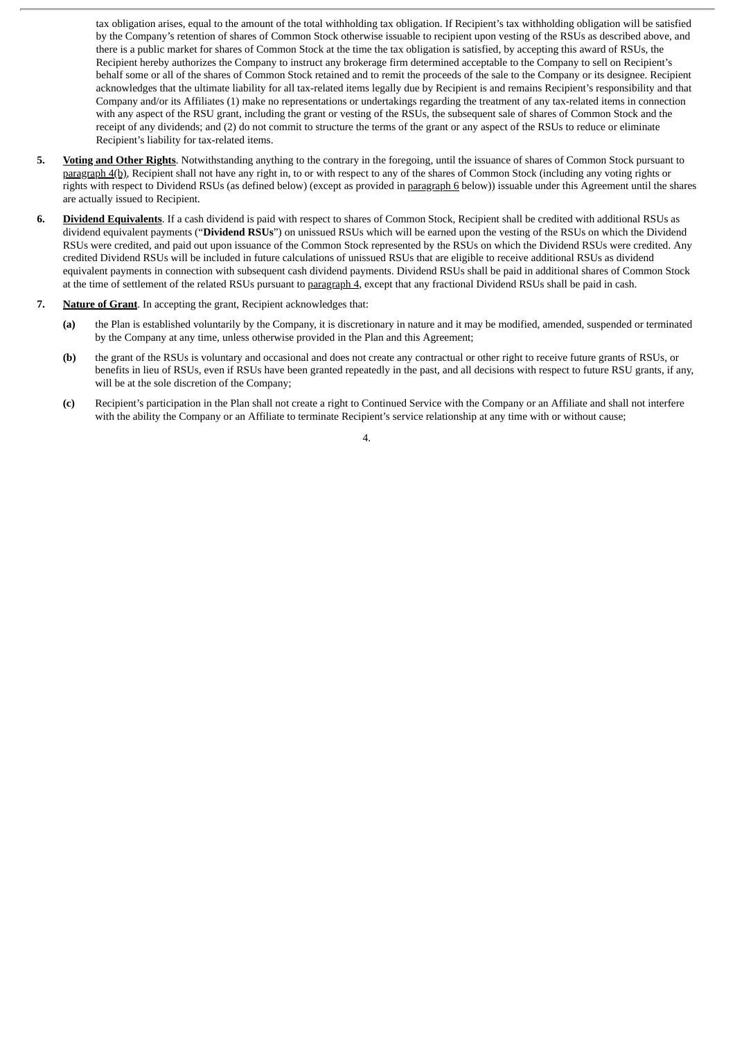tax obligation arises, equal to the amount of the total withholding tax obligation. If Recipient's tax withholding obligation will be satisfied by the Company's retention of shares of Common Stock otherwise issuable to recipient upon vesting of the RSUs as described above, and there is a public market for shares of Common Stock at the time the tax obligation is satisfied, by accepting this award of RSUs, the Recipient hereby authorizes the Company to instruct any brokerage firm determined acceptable to the Company to sell on Recipient's behalf some or all of the shares of Common Stock retained and to remit the proceeds of the sale to the Company or its designee. Recipient acknowledges that the ultimate liability for all tax-related items legally due by Recipient is and remains Recipient's responsibility and that Company and/or its Affiliates (1) make no representations or undertakings regarding the treatment of any tax-related items in connection with any aspect of the RSU grant, including the grant or vesting of the RSUs, the subsequent sale of shares of Common Stock and the receipt of any dividends; and (2) do not commit to structure the terms of the grant or any aspect of the RSUs to reduce or eliminate Recipient's liability for tax-related items.

- **5. Voting and Other Rights**. Notwithstanding anything to the contrary in the foregoing, until the issuance of shares of Common Stock pursuant to paragraph 4(b), Recipient shall not have any right in, to or with respect to any of the shares of Common Stock (including any voting rights or rights with respect to Dividend RSUs (as defined below) (except as provided in paragraph 6 below)) issuable under this Agreement until the shares are actually issued to Recipient.
- **6. Dividend Equivalents**. If a cash dividend is paid with respect to shares of Common Stock, Recipient shall be credited with additional RSUs as dividend equivalent payments ("**Dividend RSUs**") on unissued RSUs which will be earned upon the vesting of the RSUs on which the Dividend RSUs were credited, and paid out upon issuance of the Common Stock represented by the RSUs on which the Dividend RSUs were credited. Any credited Dividend RSUs will be included in future calculations of unissued RSUs that are eligible to receive additional RSUs as dividend equivalent payments in connection with subsequent cash dividend payments. Dividend RSUs shall be paid in additional shares of Common Stock at the time of settlement of the related RSUs pursuant to paragraph 4, except that any fractional Dividend RSUs shall be paid in cash.
- **7. Nature of Grant**. In accepting the grant, Recipient acknowledges that:
	- **(a)** the Plan is established voluntarily by the Company, it is discretionary in nature and it may be modified, amended, suspended or terminated by the Company at any time, unless otherwise provided in the Plan and this Agreement;
	- **(b)** the grant of the RSUs is voluntary and occasional and does not create any contractual or other right to receive future grants of RSUs, or benefits in lieu of RSUs, even if RSUs have been granted repeatedly in the past, and all decisions with respect to future RSU grants, if any, will be at the sole discretion of the Company;
	- **(c)** Recipient's participation in the Plan shall not create a right to Continued Service with the Company or an Affiliate and shall not interfere with the ability the Company or an Affiliate to terminate Recipient's service relationship at any time with or without cause;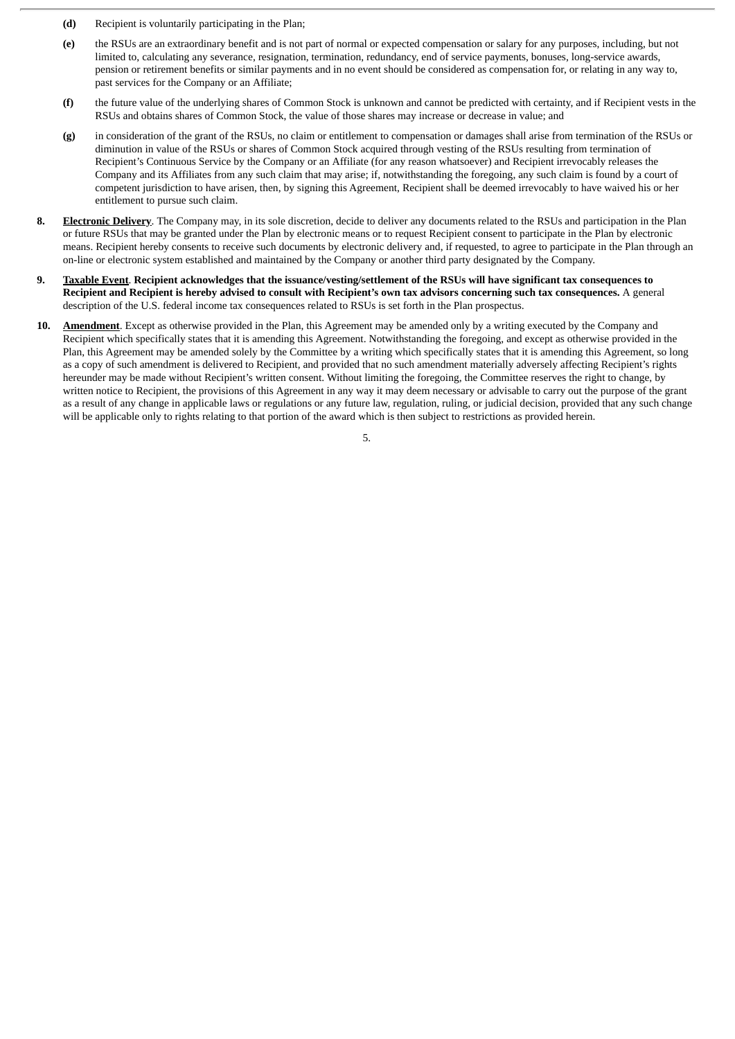- **(d)** Recipient is voluntarily participating in the Plan;
- **(e)** the RSUs are an extraordinary benefit and is not part of normal or expected compensation or salary for any purposes, including, but not limited to, calculating any severance, resignation, termination, redundancy, end of service payments, bonuses, long-service awards, pension or retirement benefits or similar payments and in no event should be considered as compensation for, or relating in any way to, past services for the Company or an Affiliate;
- **(f)** the future value of the underlying shares of Common Stock is unknown and cannot be predicted with certainty, and if Recipient vests in the RSUs and obtains shares of Common Stock, the value of those shares may increase or decrease in value; and
- **(g)** in consideration of the grant of the RSUs, no claim or entitlement to compensation or damages shall arise from termination of the RSUs or diminution in value of the RSUs or shares of Common Stock acquired through vesting of the RSUs resulting from termination of Recipient's Continuous Service by the Company or an Affiliate (for any reason whatsoever) and Recipient irrevocably releases the Company and its Affiliates from any such claim that may arise; if, notwithstanding the foregoing, any such claim is found by a court of competent jurisdiction to have arisen, then, by signing this Agreement, Recipient shall be deemed irrevocably to have waived his or her entitlement to pursue such claim.
- **8. Electronic Delivery**. The Company may, in its sole discretion, decide to deliver any documents related to the RSUs and participation in the Plan or future RSUs that may be granted under the Plan by electronic means or to request Recipient consent to participate in the Plan by electronic means. Recipient hereby consents to receive such documents by electronic delivery and, if requested, to agree to participate in the Plan through an on-line or electronic system established and maintained by the Company or another third party designated by the Company.
- 9. Taxable Event. Recipient acknowledges that the issuance/vesting/settlement of the RSUs will have significant tax consequences to Recipient and Recipient is hereby advised to consult with Recipient's own tax advisors concerning such tax consequences. A general description of the U.S. federal income tax consequences related to RSUs is set forth in the Plan prospectus.
- **10. Amendment**. Except as otherwise provided in the Plan, this Agreement may be amended only by a writing executed by the Company and Recipient which specifically states that it is amending this Agreement. Notwithstanding the foregoing, and except as otherwise provided in the Plan, this Agreement may be amended solely by the Committee by a writing which specifically states that it is amending this Agreement, so long as a copy of such amendment is delivered to Recipient, and provided that no such amendment materially adversely affecting Recipient's rights hereunder may be made without Recipient's written consent. Without limiting the foregoing, the Committee reserves the right to change, by written notice to Recipient, the provisions of this Agreement in any way it may deem necessary or advisable to carry out the purpose of the grant as a result of any change in applicable laws or regulations or any future law, regulation, ruling, or judicial decision, provided that any such change will be applicable only to rights relating to that portion of the award which is then subject to restrictions as provided herein.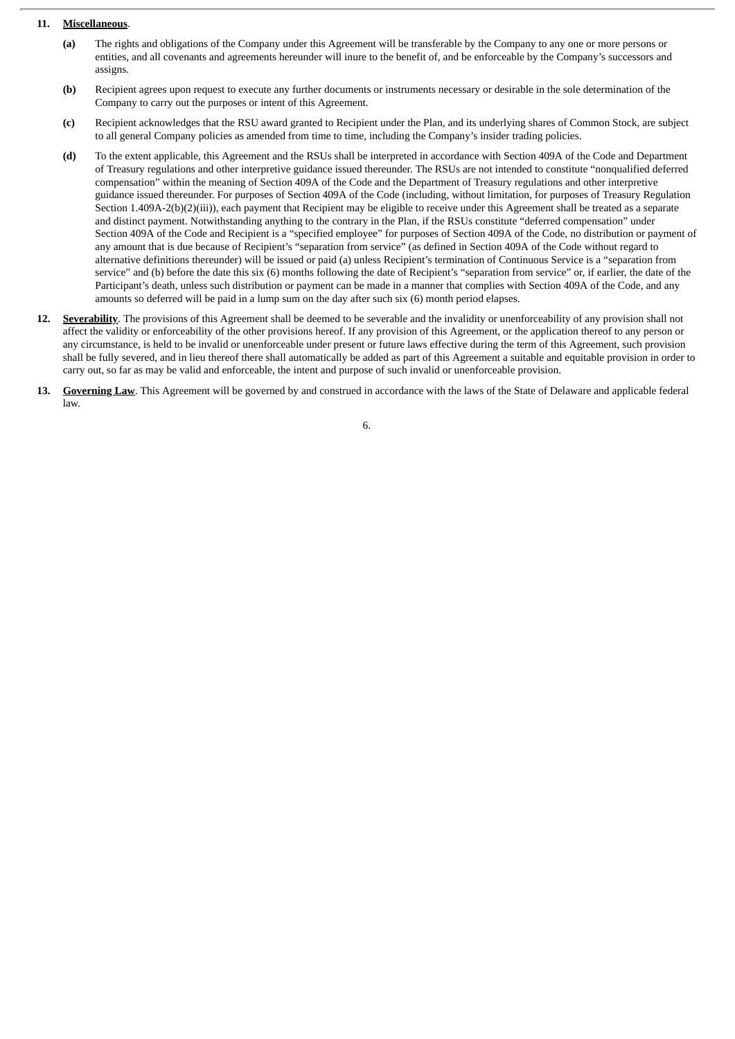### **11. Miscellaneous**.

- **(a)** The rights and obligations of the Company under this Agreement will be transferable by the Company to any one or more persons or entities, and all covenants and agreements hereunder will inure to the benefit of, and be enforceable by the Company's successors and assigns.
- **(b)** Recipient agrees upon request to execute any further documents or instruments necessary or desirable in the sole determination of the Company to carry out the purposes or intent of this Agreement.
- **(c)** Recipient acknowledges that the RSU award granted to Recipient under the Plan, and its underlying shares of Common Stock, are subject to all general Company policies as amended from time to time, including the Company's insider trading policies.
- **(d)** To the extent applicable, this Agreement and the RSUs shall be interpreted in accordance with Section 409A of the Code and Department of Treasury regulations and other interpretive guidance issued thereunder. The RSUs are not intended to constitute "nonqualified deferred compensation" within the meaning of Section 409A of the Code and the Department of Treasury regulations and other interpretive guidance issued thereunder. For purposes of Section 409A of the Code (including, without limitation, for purposes of Treasury Regulation Section 1.409A-2(b)(2)(iii)), each payment that Recipient may be eligible to receive under this Agreement shall be treated as a separate and distinct payment. Notwithstanding anything to the contrary in the Plan, if the RSUs constitute "deferred compensation" under Section 409A of the Code and Recipient is a "specified employee" for purposes of Section 409A of the Code, no distribution or payment of any amount that is due because of Recipient's "separation from service" (as defined in Section 409A of the Code without regard to alternative definitions thereunder) will be issued or paid (a) unless Recipient's termination of Continuous Service is a "separation from service" and (b) before the date this six (6) months following the date of Recipient's "separation from service" or, if earlier, the date of the Participant's death, unless such distribution or payment can be made in a manner that complies with Section 409A of the Code, and any amounts so deferred will be paid in a lump sum on the day after such six (6) month period elapses.
- **12. Severability**. The provisions of this Agreement shall be deemed to be severable and the invalidity or unenforceability of any provision shall not affect the validity or enforceability of the other provisions hereof. If any provision of this Agreement, or the application thereof to any person or any circumstance, is held to be invalid or unenforceable under present or future laws effective during the term of this Agreement, such provision shall be fully severed, and in lieu thereof there shall automatically be added as part of this Agreement a suitable and equitable provision in order to carry out, so far as may be valid and enforceable, the intent and purpose of such invalid or unenforceable provision.
- **13. Governing Law**. This Agreement will be governed by and construed in accordance with the laws of the State of Delaware and applicable federal law.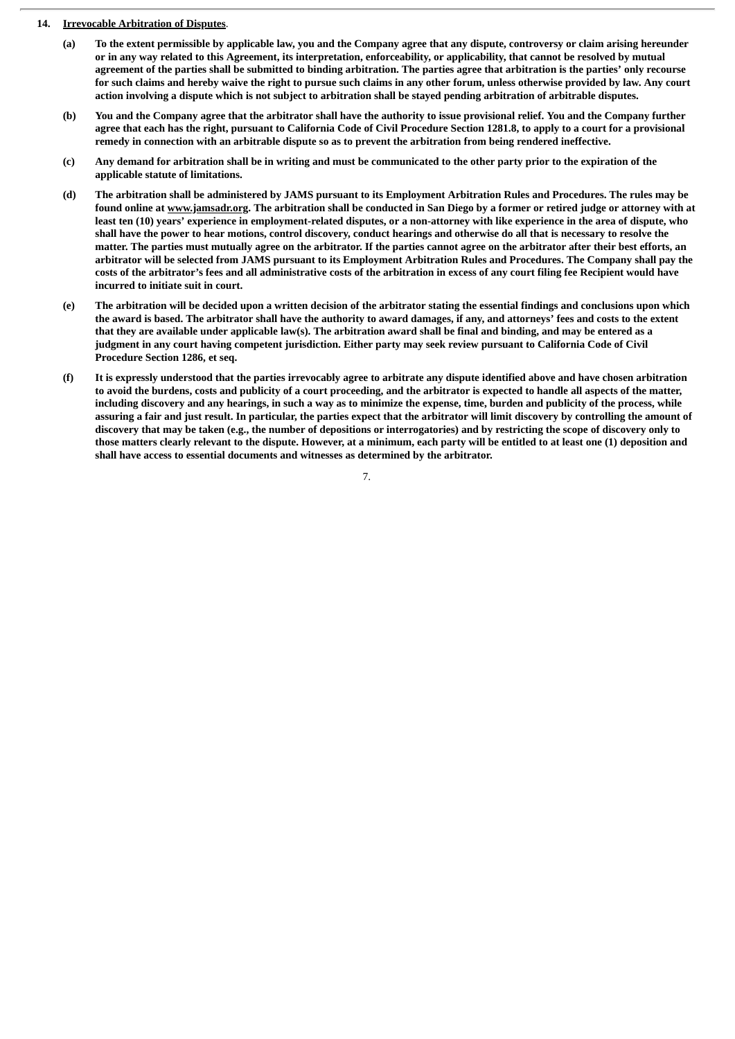### **14. Irrevocable Arbitration of Disputes**.

- (a) To the extent permissible by applicable law, you and the Company agree that any dispute, controversy or claim arising hereunder or in any way related to this Agreement, its interpretation, enforceability, or applicability, that cannot be resolved by mutual agreement of the parties shall be submitted to binding arbitration. The parties agree that arbitration is the parties' only recourse for such claims and hereby waive the right to pursue such claims in any other forum, unless otherwise provided by law. Any court action involving a dispute which is not subject to arbitration shall be stayed pending arbitration of arbitrable disputes.
- (b) You and the Company agree that the arbitrator shall have the authority to issue provisional relief. You and the Company further agree that each has the right, pursuant to California Code of Civil Procedure Section 1281.8, to apply to a court for a provisional remedy in connection with an arbitrable dispute so as to prevent the arbitration from being rendered ineffective.
- (c) Any demand for arbitration shall be in writing and must be communicated to the other party prior to the expiration of the **applicable statute of limitations.**
- (d) The arbitration shall be administered by JAMS pursuant to its Employment Arbitration Rules and Procedures. The rules may be found online at www.jamsadr.org. The arbitration shall be conducted in San Diego by a former or retired judge or attorney with at least ten (10) years' experience in employment-related disputes, or a non-attorney with like experience in the area of dispute, who shall have the power to hear motions, control discovery, conduct hearings and otherwise do all that is necessary to resolve the matter. The parties must mutually agree on the arbitrator. If the parties cannot agree on the arbitrator after their best efforts, an arbitrator will be selected from JAMS pursuant to its Employment Arbitration Rules and Procedures. The Company shall pay the costs of the arbitrator's fees and all administrative costs of the arbitration in excess of any court filing fee Recipient would have **incurred to initiate suit in court.**
- (e) The arbitration will be decided upon a written decision of the arbitrator stating the essential findings and conclusions upon which the award is based. The arbitrator shall have the authority to award damages, if any, and attorneys' fees and costs to the extent that they are available under applicable law(s). The arbitration award shall be final and binding, and may be entered as a judgment in any court having competent jurisdiction. Either party may seek review pursuant to California Code of Civil **Procedure Section 1286, et seq.**
- (f) It is expressly understood that the parties irrevocably agree to arbitrate any dispute identified above and have chosen arbitration to avoid the burdens, costs and publicity of a court proceeding, and the arbitrator is expected to handle all aspects of the matter, including discovery and any hearings, in such a way as to minimize the expense, time, burden and publicity of the process, while assuring a fair and just result. In particular, the parties expect that the arbitrator will limit discovery by controlling the amount of discovery that may be taken (e.g., the number of depositions or interrogatories) and by restricting the scope of discovery only to those matters clearly relevant to the dispute. However, at a minimum, each party will be entitled to at least one (1) deposition and **shall have access to essential documents and witnesses as determined by the arbitrator.**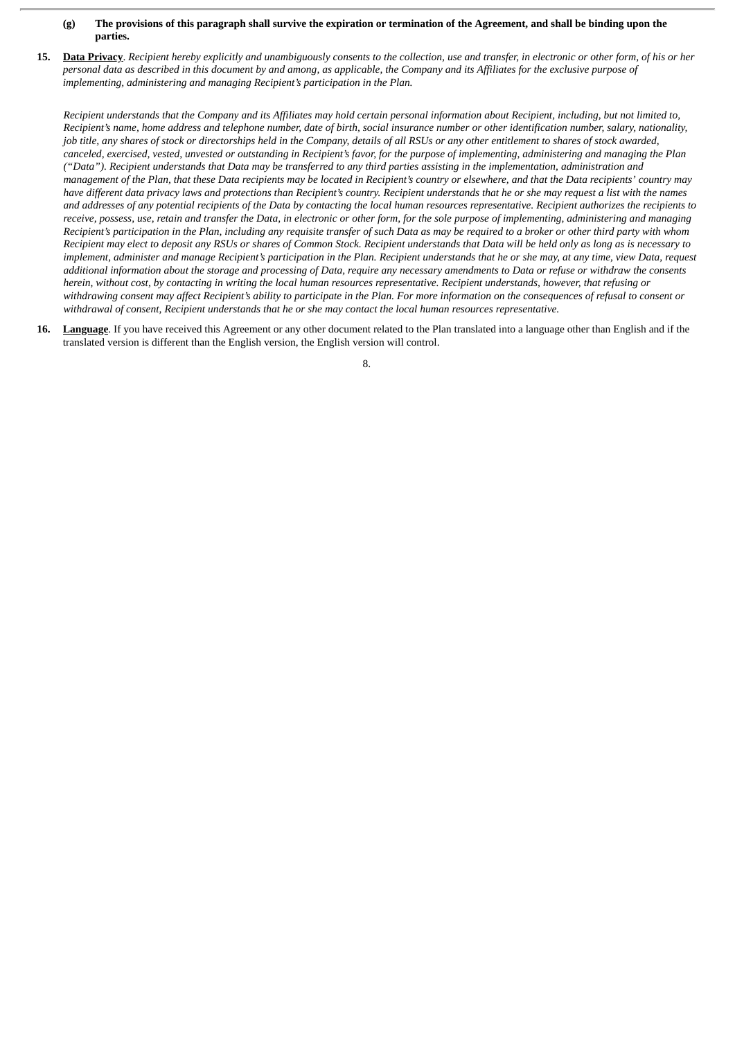### (g) The provisions of this paragraph shall survive the expiration or termination of the Agreement, and shall be binding upon the **parties.**

15. Data Privacy. Recipient hereby explicitly and unambiquously consents to the collection, use and transfer, in electronic or other form, of his or her personal data as described in this document by and among, as applicable, the Company and its Affiliates for the exclusive purpose of *implementing, administering and managing Recipient's participation in the Plan.*

Recipient understands that the Company and its Affiliates may hold certain personal information about Recipient, including, but not limited to, Recipient's name, home address and telephone number, date of birth, social insurance number or other identification number, salary, nationality, job title, any shares of stock or directorships held in the Company, details of all RSUs or any other entitlement to shares of stock awarded, canceled, exercised, vested, unvested or outstanding in Recipient's favor, for the purpose of implementing, administering and managing the Plan ("Data"). Recipient understands that Data may be transferred to any third parties assisting in the implementation, administration and management of the Plan, that these Data recipients may be located in Recipient's country or elsewhere, and that the Data recipients' country may have different data privacy laws and protections than Recipient's country. Recipient understands that he or she may request a list with the names and addresses of any potential recipients of the Data by contacting the local human resources representative. Recipient authorizes the recipients to receive, possess, use, retain and transfer the Data, in electronic or other form, for the sole purpose of implementing, administering and managing Recipient's participation in the Plan, including any requisite transfer of such Data as may be required to a broker or other third party with whom Recipient may elect to deposit any RSUs or shares of Common Stock. Recipient understands that Data will be held only as long as is necessary to implement, administer and manage Recipient's participation in the Plan. Recipient understands that he or she may, at any time, view Data, request additional information about the storage and processing of Data, require any necessary amendments to Data or refuse or withdraw the consents herein, without cost, by contacting in writing the local human resources representative. Recipient understands, however, that refusing or withdrawing consent may affect Recipient's ability to participate in the Plan. For more information on the consequences of refusal to consent or withdrawal of consent, Recipient understands that he or she may contact the local human resources representative.

**16. Language**. If you have received this Agreement or any other document related to the Plan translated into a language other than English and if the translated version is different than the English version, the English version will control.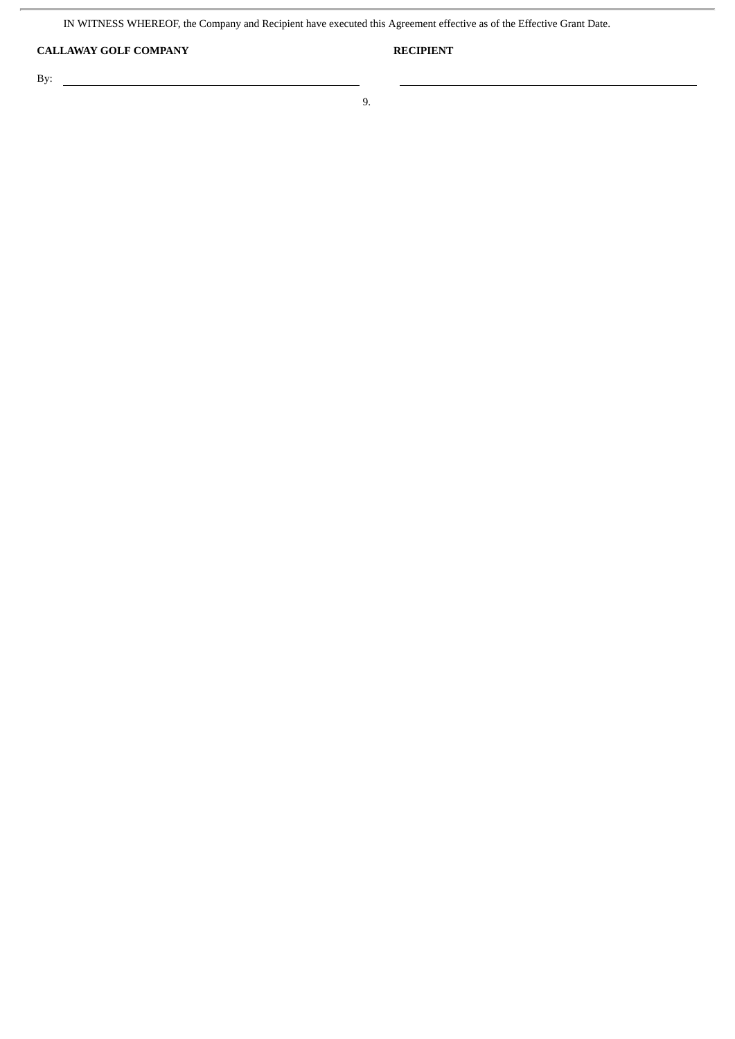IN WITNESS WHEREOF, the Company and Recipient have executed this Agreement effective as of the Effective Grant Date.

### **CALLAWAY GOLF COMPANY RECIPIENT**

By: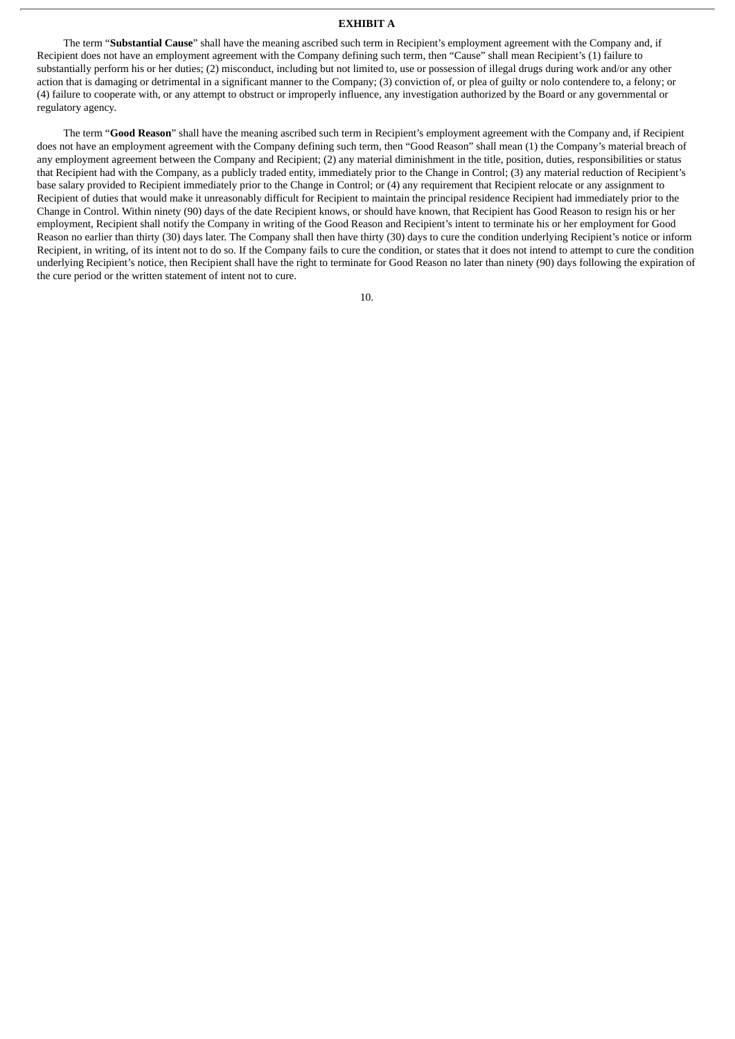### **EXHIBIT A**

The term "**Substantial Cause**" shall have the meaning ascribed such term in Recipient's employment agreement with the Company and, if Recipient does not have an employment agreement with the Company defining such term, then "Cause" shall mean Recipient's (1) failure to substantially perform his or her duties; (2) misconduct, including but not limited to, use or possession of illegal drugs during work and/or any other action that is damaging or detrimental in a significant manner to the Company; (3) conviction of, or plea of guilty or nolo contendere to, a felony; or (4) failure to cooperate with, or any attempt to obstruct or improperly influence, any investigation authorized by the Board or any governmental or regulatory agency.

The term "**Good Reason**" shall have the meaning ascribed such term in Recipient's employment agreement with the Company and, if Recipient does not have an employment agreement with the Company defining such term, then "Good Reason" shall mean (1) the Company's material breach of any employment agreement between the Company and Recipient; (2) any material diminishment in the title, position, duties, responsibilities or status that Recipient had with the Company, as a publicly traded entity, immediately prior to the Change in Control; (3) any material reduction of Recipient's base salary provided to Recipient immediately prior to the Change in Control; or (4) any requirement that Recipient relocate or any assignment to Recipient of duties that would make it unreasonably difficult for Recipient to maintain the principal residence Recipient had immediately prior to the Change in Control. Within ninety (90) days of the date Recipient knows, or should have known, that Recipient has Good Reason to resign his or her employment, Recipient shall notify the Company in writing of the Good Reason and Recipient's intent to terminate his or her employment for Good Reason no earlier than thirty (30) days later. The Company shall then have thirty (30) days to cure the condition underlying Recipient's notice or inform Recipient, in writing, of its intent not to do so. If the Company fails to cure the condition, or states that it does not intend to attempt to cure the condition underlying Recipient's notice, then Recipient shall have the right to terminate for Good Reason no later than ninety (90) days following the expiration of the cure period or the written statement of intent not to cure.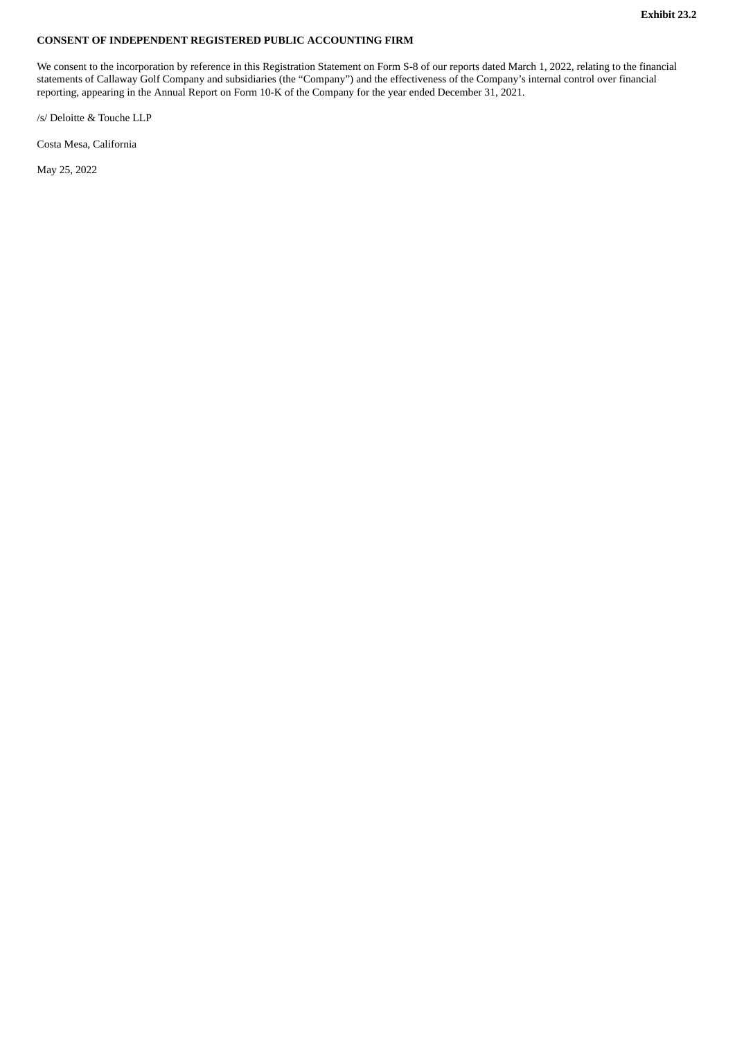### <span id="page-29-0"></span>**CONSENT OF INDEPENDENT REGISTERED PUBLIC ACCOUNTING FIRM**

We consent to the incorporation by reference in this Registration Statement on Form S-8 of our reports dated March 1, 2022, relating to the financial statements of Callaway Golf Company and subsidiaries (the "Company") and the effectiveness of the Company's internal control over financial reporting, appearing in the Annual Report on Form 10-K of the Company for the year ended December 31, 2021.

/s/ Deloitte & Touche LLP

Costa Mesa, California

May 25, 2022